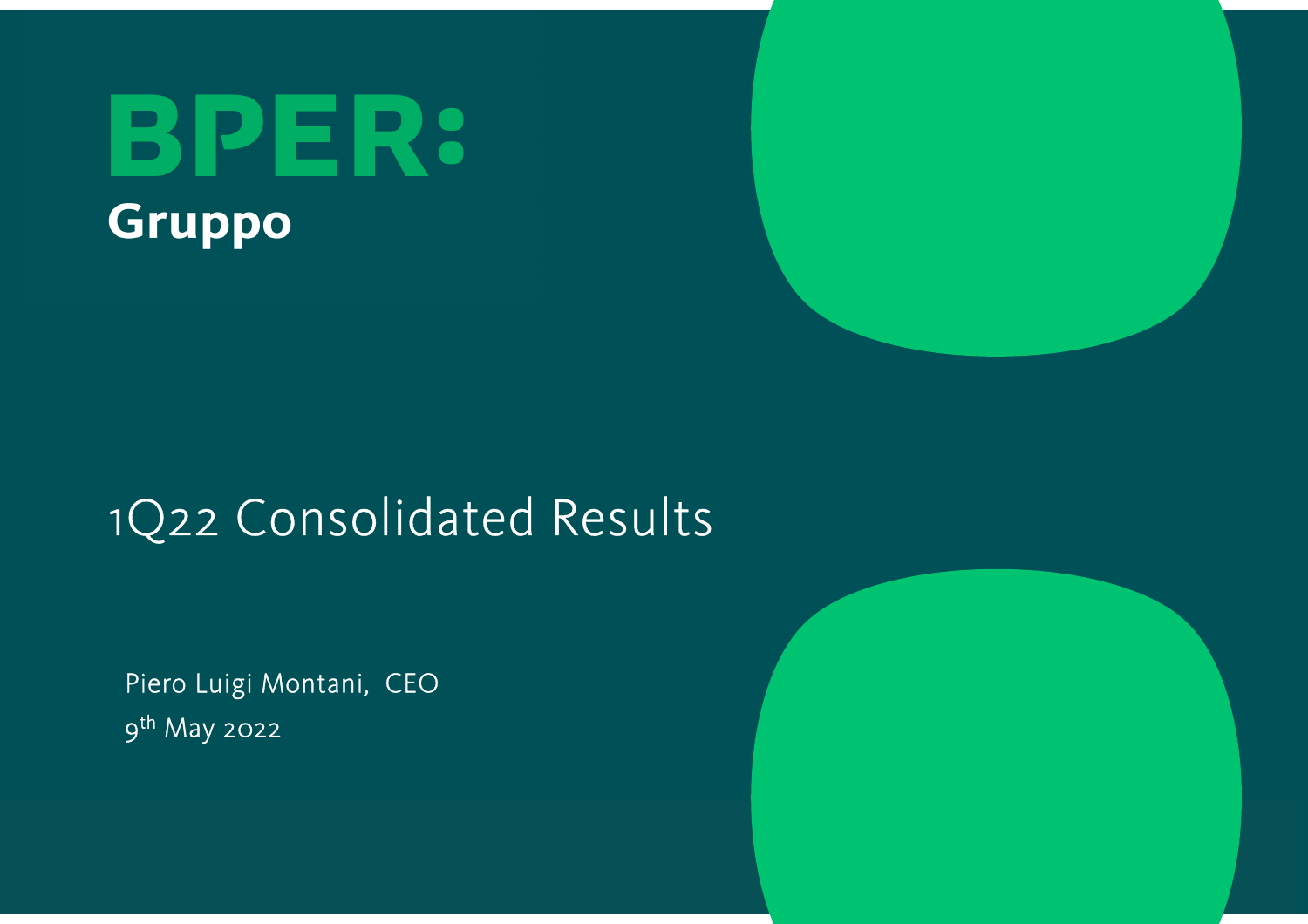



# 1Q22 Consolidated Results

Piero Luigi Montani, CEO<sup>9</sup>th May 2022

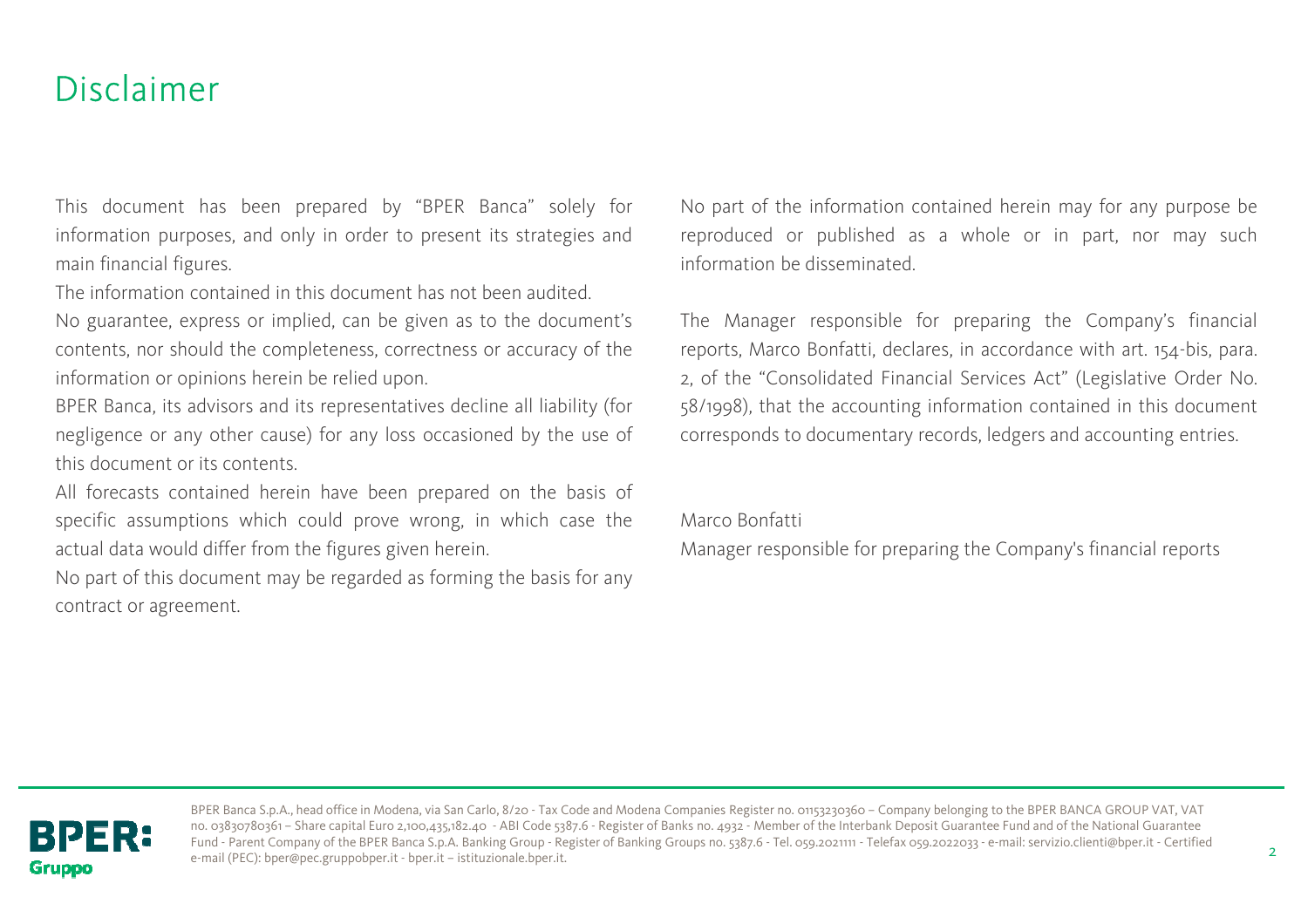### Disclaimer

This document has been prepared by "BPER Banca" solely for information purposes, and only in order to present its strategies and main financial figures.

The information contained in this document has not been audited.

No guarantee, express or implied, can be <sup>g</sup>iven as to the document's contents, nor should the completeness, correctness or accuracy of the information or opinions herein be relied upon.

BPER Banca, its advisors and its representatives decline all liability (for negligence or any other cause) for any loss occasioned by the use of this document or its contents.

All forecasts contained herein have been prepared on the basis of specific assumptions which could prove wrong, in which case the actual data would differ from the figures <sup>g</sup>iven herein.

No part of this document may be regarded as forming the basis for any contract or agreement.

No part of the information contained herein may for any purpose be reproduced or published as <sup>a</sup> whole or in part, nor may such information be disseminated.

The Manager responsible for preparing the Company's financial reports, Marco Bonfatti, declares, in accordance with art. 154-bis, para. 2, of the "Consolidated Financial Services Act" (Legislative Order No. 58/1998), that the accounting information contained in this document corresponds to documentary records, ledgers and accounting entries.

Marco Bonfatti

Manager responsible for preparing the Company's financial reports



BPER Banca S.p.A., head office in Modena, via San Carlo, 8/20 - Tax Code and Modena Companies Register no. 01153230360 – Company belonging to the BPER BANCA GROUP VAT, VAT no. 03830780361 – Share capital Euro 2,100,435,182.40 - ABI Code 5387.6 - Register of Banks no. 4932 - Member of the Interbank Deposit Guarantee Fund and of the National Guarantee Fund - Parent Company of the BPER Banca S.p.A. Banking Group - Register of Banking Groups no. 5387.6 - Tel. 059.2021111 - Telefax 059.2022033 - e-mail: servizio.clienti@bper.it - Certified e-mail (PEC): bper@pec.gruppobper.it - bper.it – istituzionale.bper.it.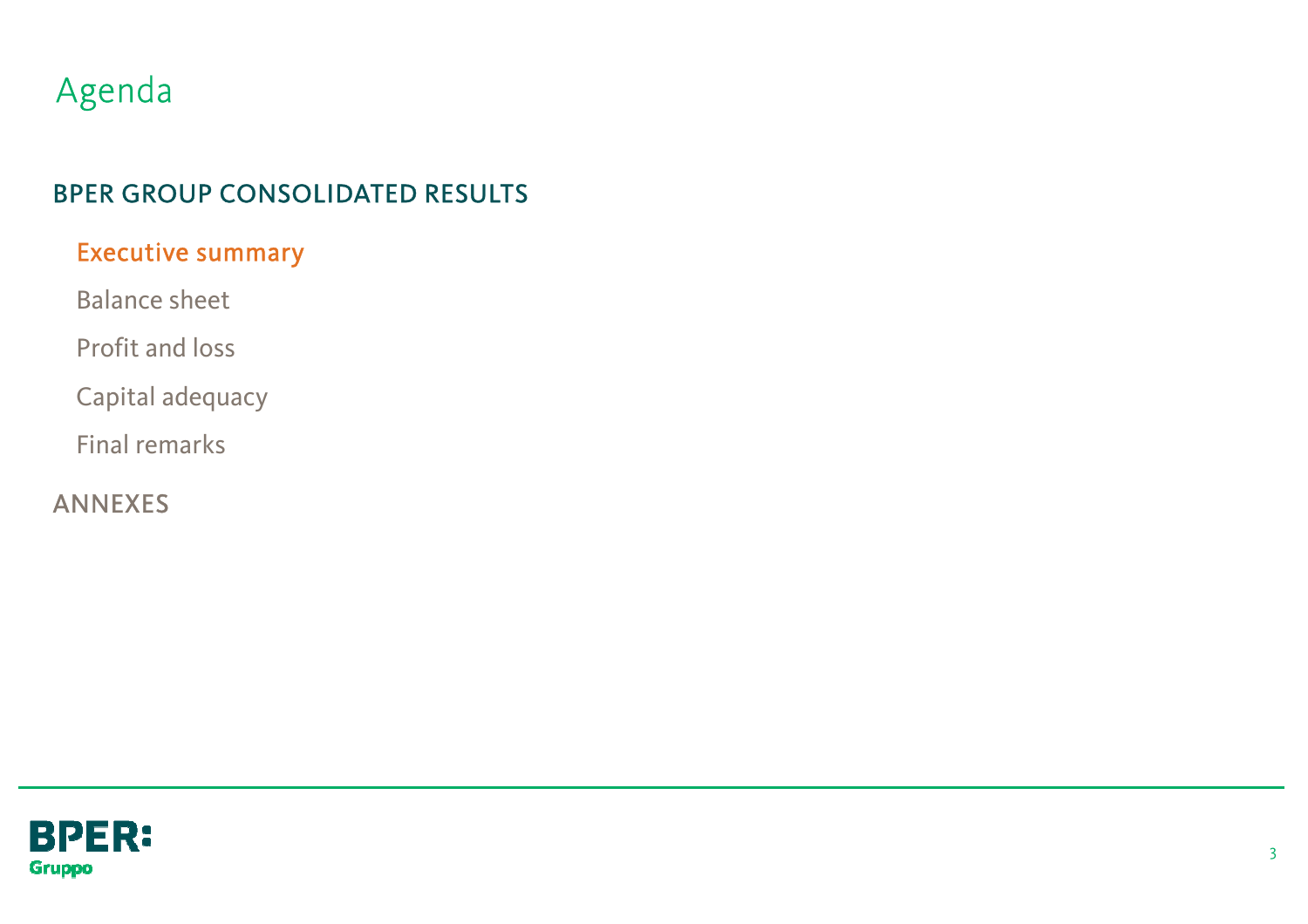## Agenda

### BPER GROUP CONSOLIDATED RESULTS

### Executive summary

Balance sheet

Profit and loss

Capital adequacy

Final remarks

ANNEXES

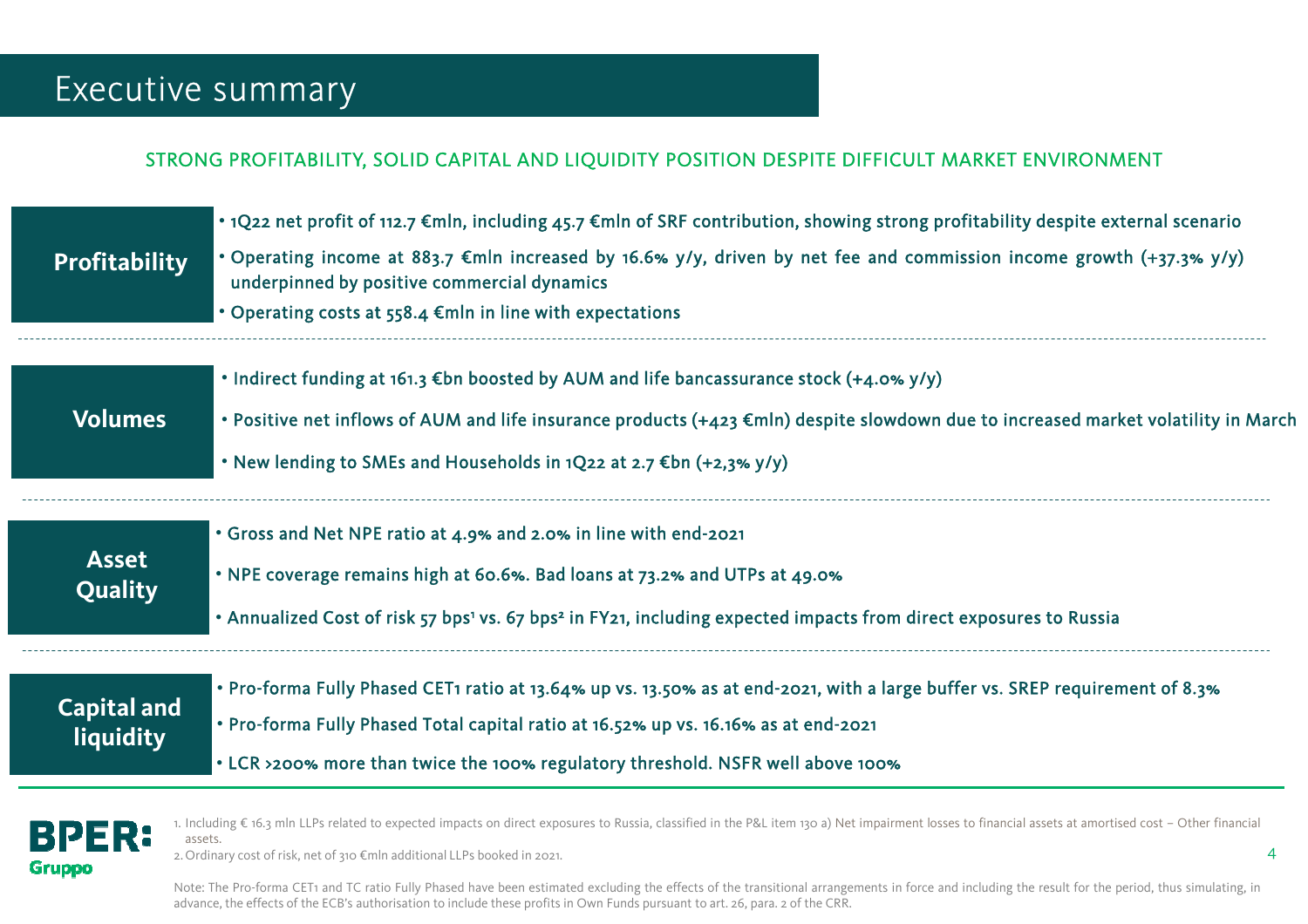### Executive summary

#### STRONG PROFITABILITY, SOLID CAPITAL AND LIQUIDITY POSITION DESPITE DIFFICULT MARKET ENVIRONMENT

|                                      | • 1Q22 net profit of 112.7 $\epsilon$ mln, including 45.7 $\epsilon$ mln of SRF contribution, showing strong profitability despite external scenario                          |
|--------------------------------------|-------------------------------------------------------------------------------------------------------------------------------------------------------------------------------|
| <b>Profitability</b>                 | • Operating income at 883.7 $\epsilon$ mln increased by 16.6% y/y, driven by net fee and commission income growth (+37.3% y/y)<br>underpinned by positive commercial dynamics |
|                                      | • Operating costs at $558.4$ Emln in line with expectations                                                                                                                   |
|                                      | • Indirect funding at 161.3 $\notin$ bn boosted by AUM and life bancassurance stock (+4.0% y/y)                                                                               |
| <b>Volumes</b>                       | • Positive net inflows of AUM and life insurance products (+423 €mln) despite slowdown due to increased market volatility in March                                            |
|                                      | • New lending to SMEs and Households in $1Q$ 22 at 2.7 $\epsilon$ bn (+2,3% y/y)                                                                                              |
|                                      | . Gross and Net NPE ratio at 4.9% and 2.0% in line with end-2021                                                                                                              |
| <b>Asset</b><br>Quality <sup>'</sup> | • NPE coverage remains high at 60.6%. Bad loans at 73.2% and UTPs at 49.0%                                                                                                    |
|                                      | • Annualized Cost of risk 57 bps <sup>1</sup> vs. 67 bps <sup>2</sup> in FY21, including expected impacts from direct exposures to Russia                                     |
| <b>Capital and</b>                   | • Pro-forma Fully Phased CET1 ratio at 13.64% up vs. 13.50% as at end-2021, with a large buffer vs. SREP requirement of 8.3%                                                  |
| <b>liquidity</b>                     | . Pro-forma Fully Phased Total capital ratio at 16.52% up vs. 16.16% as at end-2021                                                                                           |
|                                      | . LCR >200% more than twice the 100% regulatory threshold. NSFR well above 100%                                                                                               |



1. Including € 16.3 mln LLPs related to expected impacts on direct exposures to Russia, classified in the P&L item <sup>130</sup> a) Net impairment losses to financial assets at amortised cost – Other financial assets.

2. Ordinary cost of risk, net of <sup>310</sup> €mln additional LLPs booked in 2021.

Note: The Pro-forma CET1 and TC ratio Fully Phased have been estimated excluding the effects of the transitional arrangements in force and including the result for the period, thus simulating, in advance, the effects of the ECB's authorisation to include these profits in Own Funds pursuant to art. 26, para. <sup>2</sup> of the CRR.

4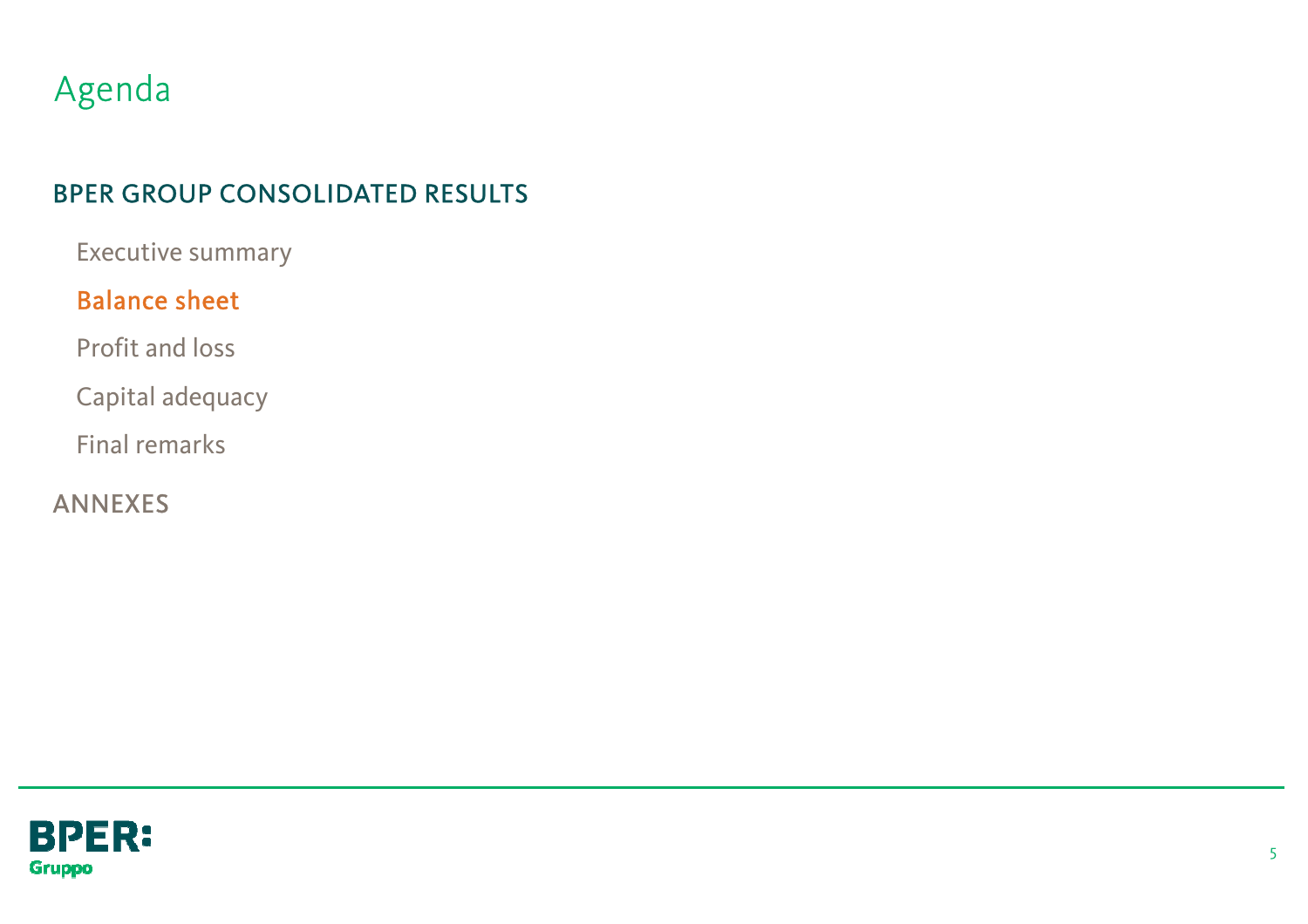## Agenda

### BPER GROUP CONSOLIDATED RESULTS

Executive summary

### Balance sheet

Profit and loss

Capital adequacy

Final remarks

ANNEXES

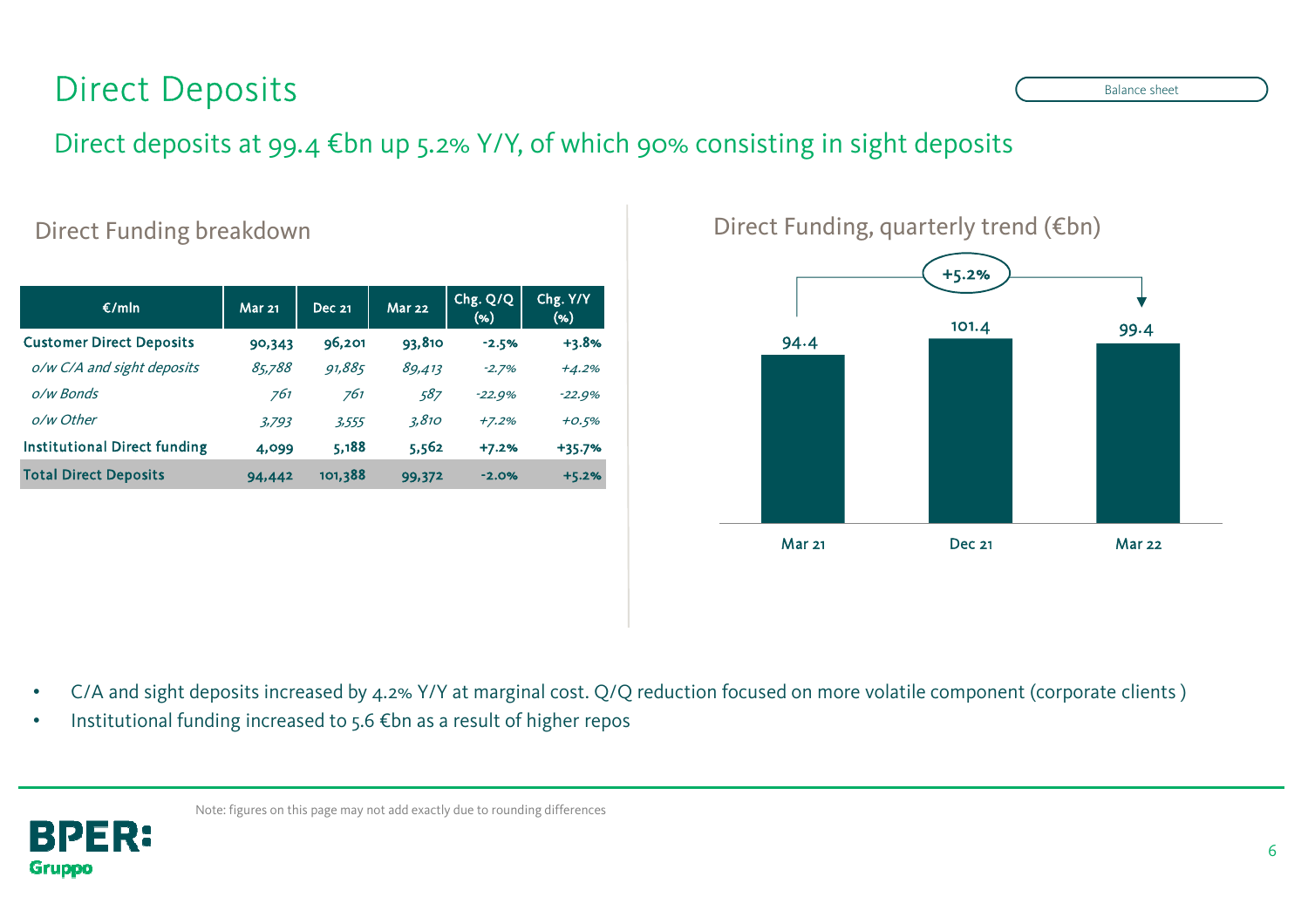## Direct Deposits

Direct deposits at 99.4 €bn up 5.2% Y/Y, of which 90% consisting in sight deposits

#### Direct Funding breakdown

| $\epsilon$ /mln                     | <b>Mar 21</b><br><b>Dec 21</b> |         | <b>Mar 22</b> | Chg. Q/Q<br>$(\% )$ | Chg. Y/Y<br>(96) |
|-------------------------------------|--------------------------------|---------|---------------|---------------------|------------------|
| <b>Customer Direct Deposits</b>     | 90,343                         | 96,201  | 93,810        | $-2.5%$             | $+3.8%$          |
| o/w C/A and sight deposits          | 85.788                         | 91,885  | 89,413        | $-2.7%$             | $+4.2%$          |
| o/w Bonds                           | 761                            | 761     | 587           | $-22.9%$            | $-22.9%$         |
| o/w Other                           | 3,793                          | 3,555   | 3,810         | $+7.2%$             | $+0.5%$          |
| <b>Institutional Direct funding</b> | 4,099                          | 5,188   | 5,562         | $+7.2%$             | +35.7%           |
| <b>Total Direct Deposits</b>        | 94,442                         | 101,388 | 99,372        | $-2.0%$             | $+5.2%$          |

Direct Funding, quarterly trend (€bn)



•C/A and sight deposits increased by 4.2% Y/Y at marginal cost. Q/Q reduction focused on more volatile component (corporate clients )

•Institutional funding increased to 5.6 €bn as a result of higher repos



Balance sheet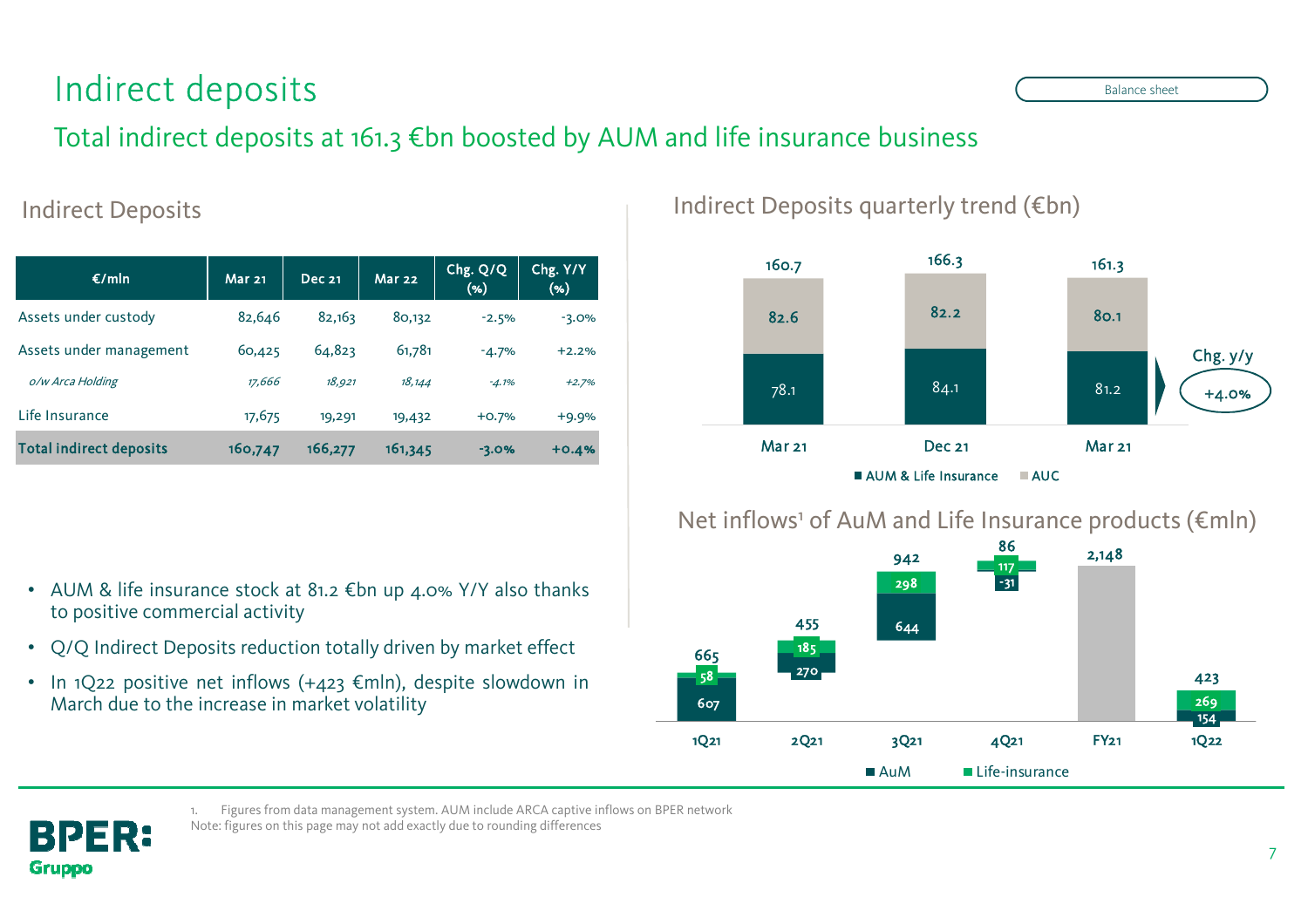## Indirect deposits

### Total indirect deposits at 161.3 €bn boosted by AUM and life insurance business

| €/mln                          | <b>Mar 21</b> | <b>Dec 21</b> | <b>Mar 22</b> | Chg. Q/Q<br>(96) | Chg. Y/Y<br>(96) |
|--------------------------------|---------------|---------------|---------------|------------------|------------------|
| Assets under custody           | 82,646        | 82,163        | 80,132        | $-2.5%$          | $-3.0%$          |
| Assets under management        | 60,425        | 64,823        | 61,781        | $-4.7%$          | $+2.2%$          |
| o/w Arca Holding               | 17,666        | 18,921        | 18,144        | $-4.1%$          | $+2.7%$          |
| Life Insurance                 | 17,675        | 19,291        | 19,432        | $+0.7%$          | $+9.9%$          |
| <b>Total indirect deposits</b> | 160,747       | 166,277       | 161,345       | $-3.0%$          | $+0.4%$          |

Indirect Deposits and interval the latest Deposits quarterly trend (€bn)



### Net inflows<sup>1</sup> of AuM and Life Insurance products (€mln)



- AUM & life insurance stock at 81.2 €bn up 4.0% Y/Y also thanks to positive commercial activity
- Q/Q Indirect Deposits reduction totally driven by market effect
- In 1Q22 positive net inflows (+423 €mln), despite slowdown in March due to the increase in market volatility

BPER: **Gruppo** 

1. Figures from data management system. AUM include ARCA captive inflows on BPER network

<u>S</u> and the sheet sheet sheet sheet sheet sheet sheet sheet sheet sheet sheet sheet sheet sheet sheet sheet sheet sheet sheet sheet sheet sheet sheet sheet sheet sheet sheet sheet sheet sheet sheet sheet sheet sheet sheet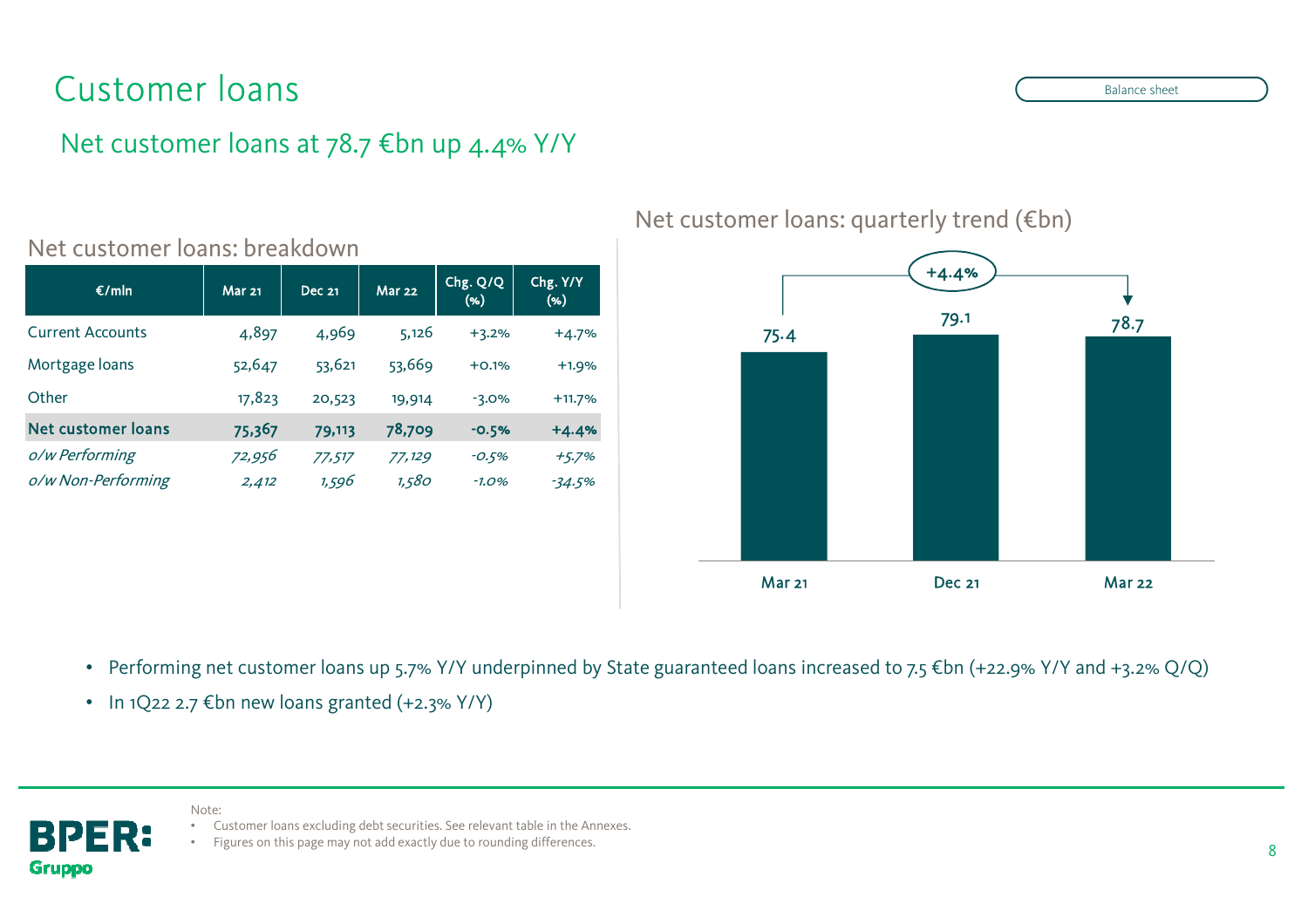## Customer loans

### Net customer loans at 78.7 €bn up 4.4% Y/Y

| E/mln                   | Mar <sub>21</sub> | <b>Dec 21</b> | <b>Mar 22</b> | Chg. Q/Q<br>$(\% )$ | Chg. Y/Y<br>( %) |
|-------------------------|-------------------|---------------|---------------|---------------------|------------------|
| <b>Current Accounts</b> | 4,897             | 4,969         | 5,126         | $+3.2%$             | $+4.7%$          |
| Mortgage loans          | 52,647            | 53,621        | 53,669        | $+0.1%$             | $+1.9%$          |
| Other                   | 17,823            | 20,523        | 19,914        | $-3.0%$             | $+11.7%$         |
| Net customer loans      | 75,367            | 79,113        | 78,709        | $-0.5%$             | $+4.4%$          |
| o/w Performing          | 72,956            | 77,517        | 77,129        | $-0.5%$             | $+5.7%$          |
| o/w Non-Performing      | 2,412             | 1,596         | 1,580         | $-1.0%$             | $-34.5%$         |

#### Net customer loans: breakdown

Net customer loans: quarterly trend (€bn)



• Performing net customer loans up 5.7% Y/Y underpinned by State guaranteed loans increased to 7.5 €bn (+22.9% Y/Y and +3.2% Q/Q)

• In 1Q22 2.7 €bn new loans granted (+2.3% Y/Y)

Note:



- Customer loans excluding debt securities. See relevant table in the Annexes.
- Figures on this page may not add exactly due to rounding differences.

Balance sheet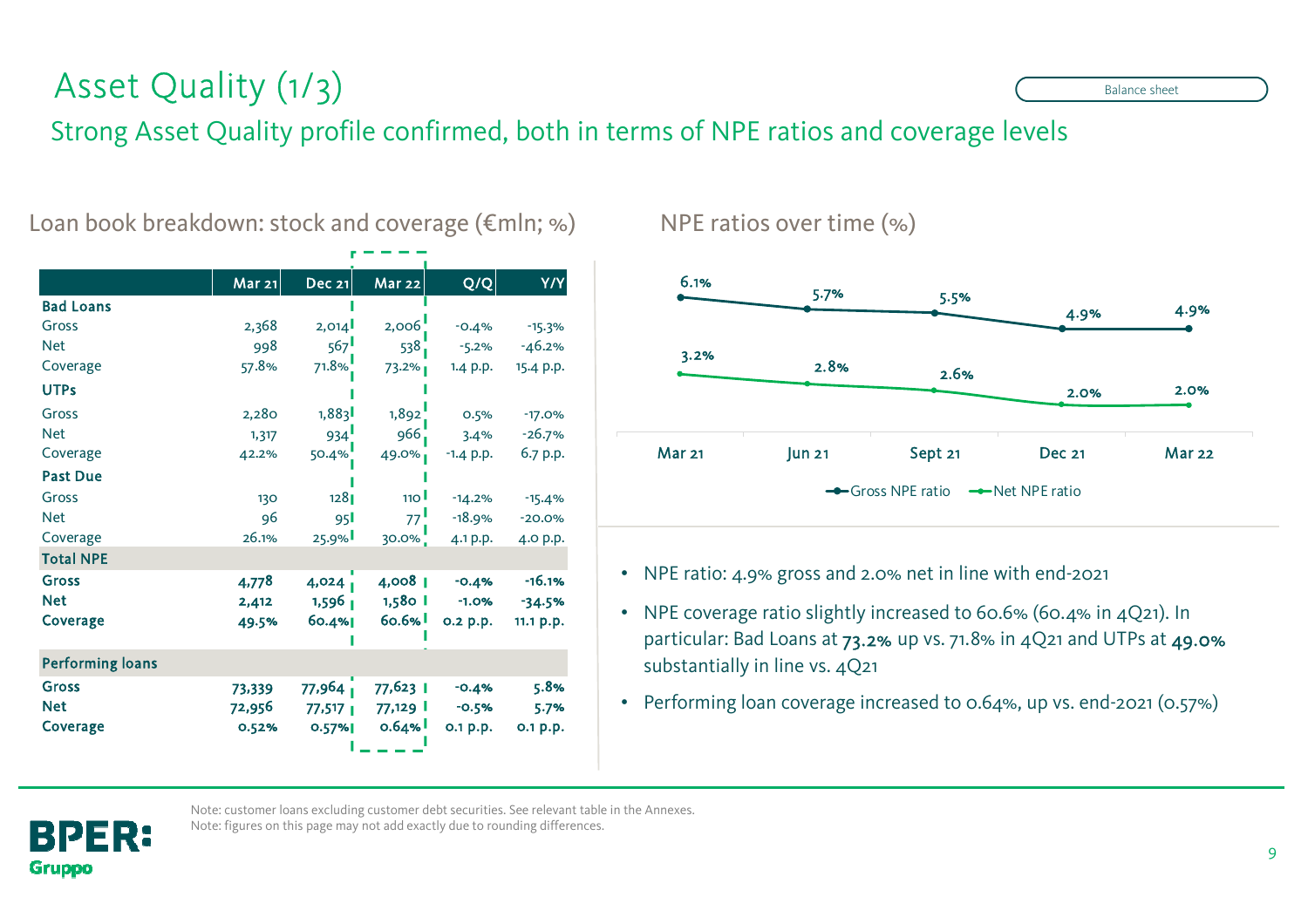## Asset Quality (1/3)

### Strong Asset Quality profile confirmed, both in terms of NPE ratios and coverage levels

|                         | Mar 21 | Dec 21                | <b>Mar 22</b>    | Q/Q         | Y/Y       |
|-------------------------|--------|-----------------------|------------------|-------------|-----------|
| <b>Bad Loans</b>        |        |                       |                  |             |           |
| Gross                   | 2,368  | 2,014                 | 2,006            | $-0.4%$     | $-15.3%$  |
| <b>Net</b>              | 998    | 567                   | 538              | $-5.2%$     | $-46.2%$  |
| Coverage                | 57.8%  | 71.8%                 | 73.2%            | 1.4 p.p.    | 15.4 p.p. |
| <b>UTPs</b>             |        |                       |                  |             |           |
| Gross                   | 2,280  | 1,883                 | 1,892            | 0.5%        | $-17.0%$  |
| <b>Net</b>              | 1,317  | 934                   | 966              | 3.4%        | $-26.7%$  |
| Coverage                | 42.2%  | $50.4\%$              | 49.0%            | $-1.4$ p.p. | 6.7 p.p.  |
| <b>Past Due</b>         |        |                       |                  |             |           |
| Gross                   | 130    | 1281                  | 110 <sup>1</sup> | $-14.2%$    | $-15.4%$  |
| <b>Net</b>              | 96     | 95 <b>I</b>           | 77               | $-18.9%$    | $-20.0%$  |
| Coverage                | 26.1%  | 25.9%                 | $30.0\%$         | 4.1 p.p.    | 4.0 p.p.  |
| <b>Total NPE</b>        |        |                       |                  |             |           |
| <b>Gross</b>            | 4,778  | 4,024                 | 4,008            | $-0.4%$     | $-16.1%$  |
| <b>Net</b>              | 2,412  | $1,596$ $1$           | 1,580 l          | $-1.0%$     | $-34.5%$  |
| <b>Coverage</b>         | 49.5%  | 60.4%                 | 60.6%            | 0.2 p.p.    | 11.1 p.p. |
|                         |        |                       |                  |             |           |
| <b>Performing loans</b> |        |                       |                  |             |           |
| <b>Gross</b>            | 73,339 | $77,964$ <sup>1</sup> | 77,623 1         | $-0.4%$     | 5.8%      |
| <b>Net</b>              | 72,956 | $77,517$              | 77,129 I         | $-0.5%$     | 5.7%      |
| Coverage                | 0.52%  | 0.57%                 | 0.64%            | 0.1 p.p.    | 0.1 p.p.  |
|                         |        |                       |                  |             |           |

#### Loan book breakdown: stock and coverage (€mln; %)



#### NPE ratios over time (%)

- NPE ratio: 4.9% gross and 2.0% net in line with end-2021
- NPE coverage ratio slightly increased to 60.6% (60.4% in 4Q21). In particular: Bad Loans at 73.2% up vs. 71.8% in 4Q21 and UTPs at 49.0% substantially in line vs. 4Q21
- Performing loan coverage increased to 0.64%, up vs. end-2021 (0.57%)



Note: customer loans excluding customer debt securities. See relevant table in the Annexes. Note: figures on this page may not add exactly due to rounding differences.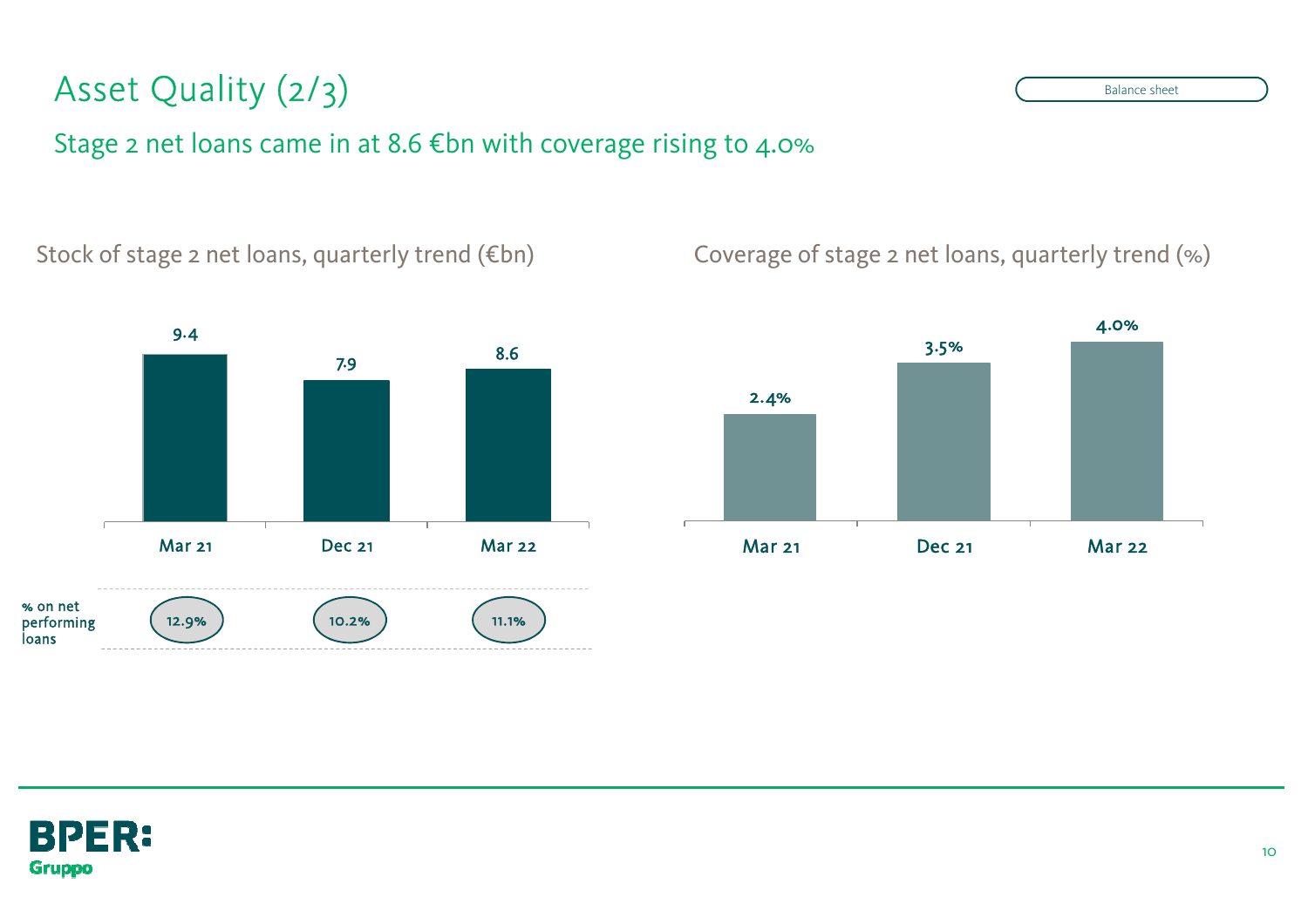## Asset Quality (2/3)

### Stage 2 net loans came in at 8.6 €bn with coverage rising to 4.0%



#### Stock of stage 2 net loans, quarterly trend (€bn) Coverage of stage 2 net loans, quarterly trend (%)



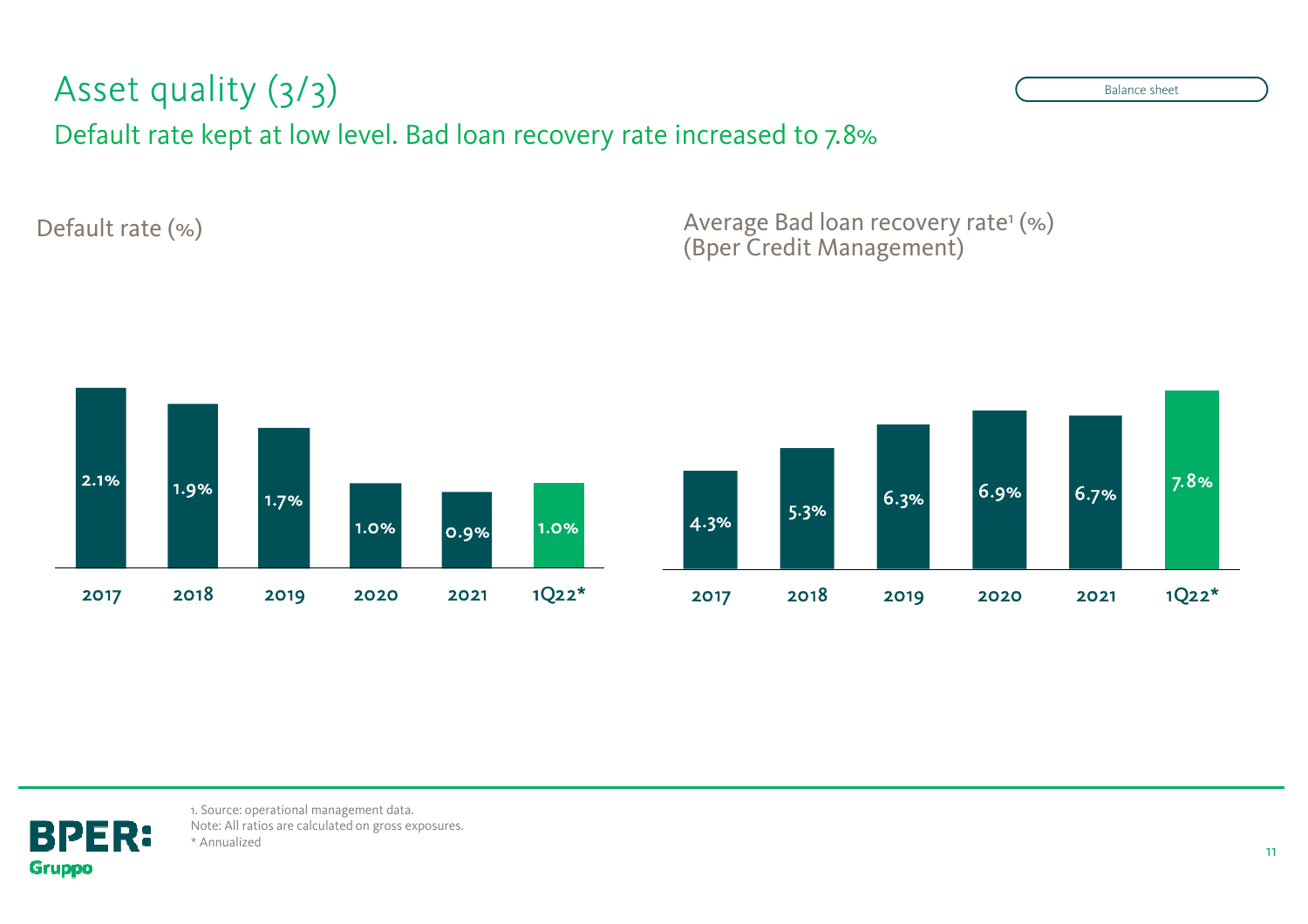#### Asset quality $\sqrt{(3/3)}$

Default rate kept at low level. Bad loan recovery rate increased to 7.8%

Default rate (%) <br>  $\begin{aligned} \text{Default rate } (\%), \text{Bper Credit Management} \end{aligned}$ 





1. Source: operational management data. Note: All ratios are calculated on gross exposures. \* Annualized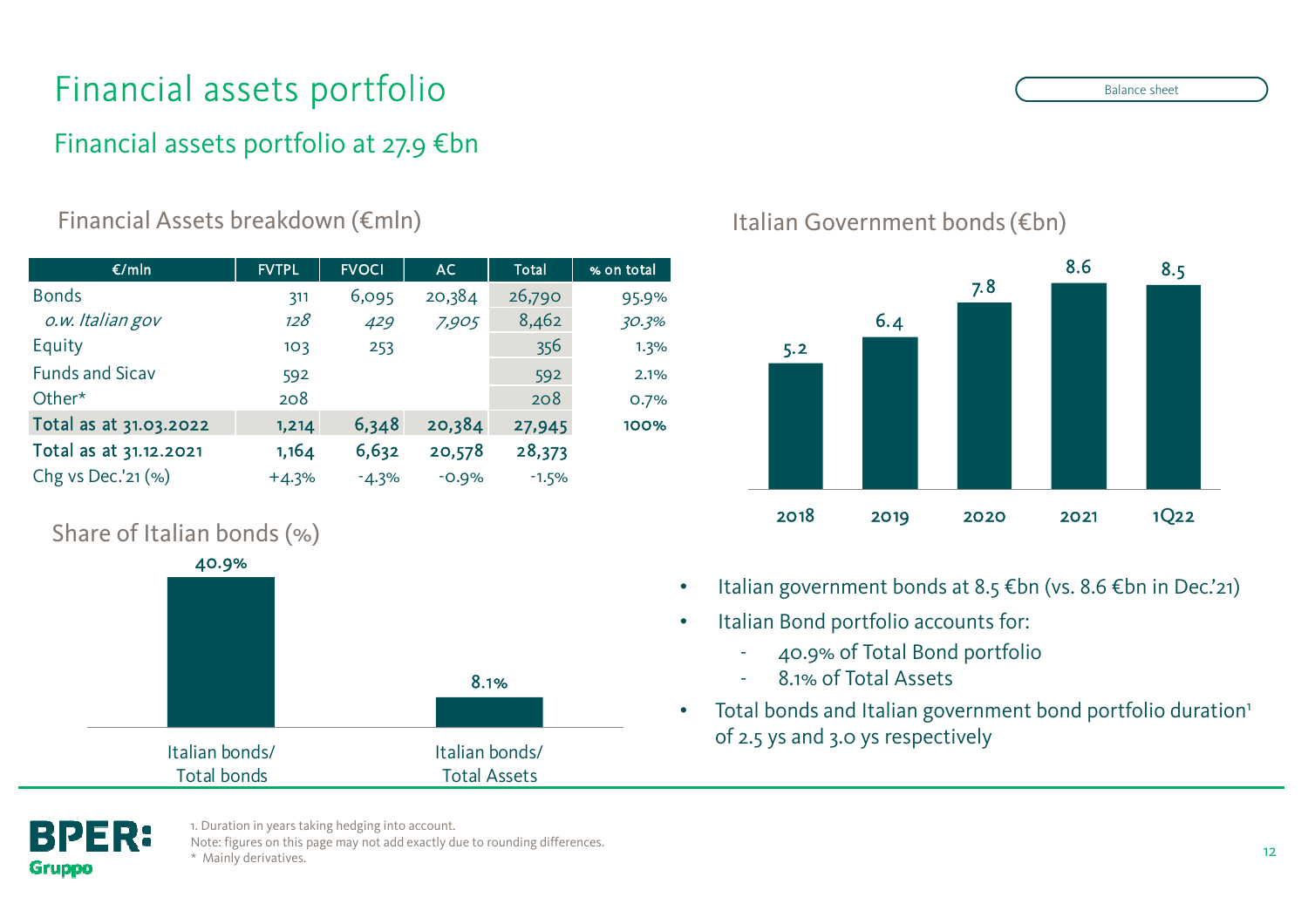## Financial assets portfolio

### Financial assets portfolio at 27.9 €bn

### Financial Assets breakdown (€mln) Italian Government bonds (€bn)

| €/mln                  | <b>FVTPL</b> | <b>FVOCI</b> | AC.     | Total   | % on total |
|------------------------|--------------|--------------|---------|---------|------------|
| <b>Bonds</b>           | 311          | 6,095        | 20,384  | 26,790  | 95.9%      |
| o.w. Italian gov       | 128          | 429          | 7,905   | 8,462   | 30.3%      |
| Equity                 | 103          | 253          |         | 356     | 1.3%       |
| <b>Funds and Sicav</b> | 592          |              |         | 592     | 2.1%       |
| Other*                 | 208          |              |         | 208     | 0.7%       |
| Total as at 31.03.2022 | 1,214        | 6,348        | 20,384  | 27,945  | 100%       |
| Total as at 31.12.2021 | 1,164        | 6,632        | 20,578  | 28,373  |            |
| Chg vs Dec.'21 (%)     | $+4.3%$      | $-4.3%$      | $-0.9%$ | $-1.5%$ |            |
|                        |              |              |         |         |            |

### Share of Italian bonds (%)





- •Italian government bonds at 8.5 €bn (vs. 8.6 €bn in Dec.'21)
- $\bullet$  Italian Bond portfolio accounts for:
	- 40.9% of Total Bond portfolio
	- -8.1% of Total Assets
- •Total bonds and Italian government bond portfolio duration<sup>1</sup> of 2.5 ys and 3.0 ys respectively



1. Duration in years taking hedging into account.

Note: figures on this page may not add exactly due to rounding differences. \* Mainly derivatives.

Balance sheet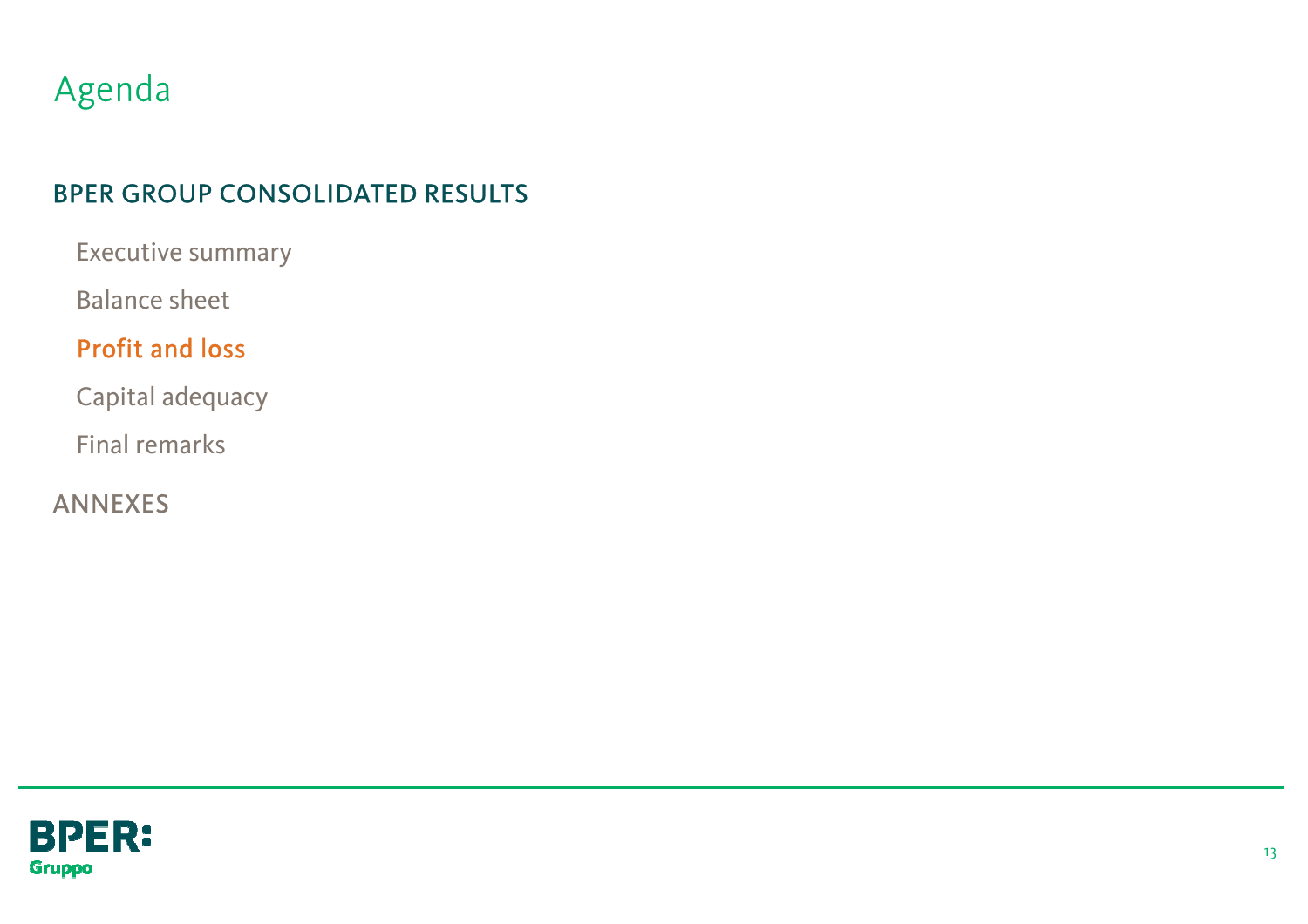## Agenda

### BPER GROUP CONSOLIDATED RESULTS

Executive summary

Balance sheet

### Profit and loss

Capital adequacy

Final remarks

ANNEXES

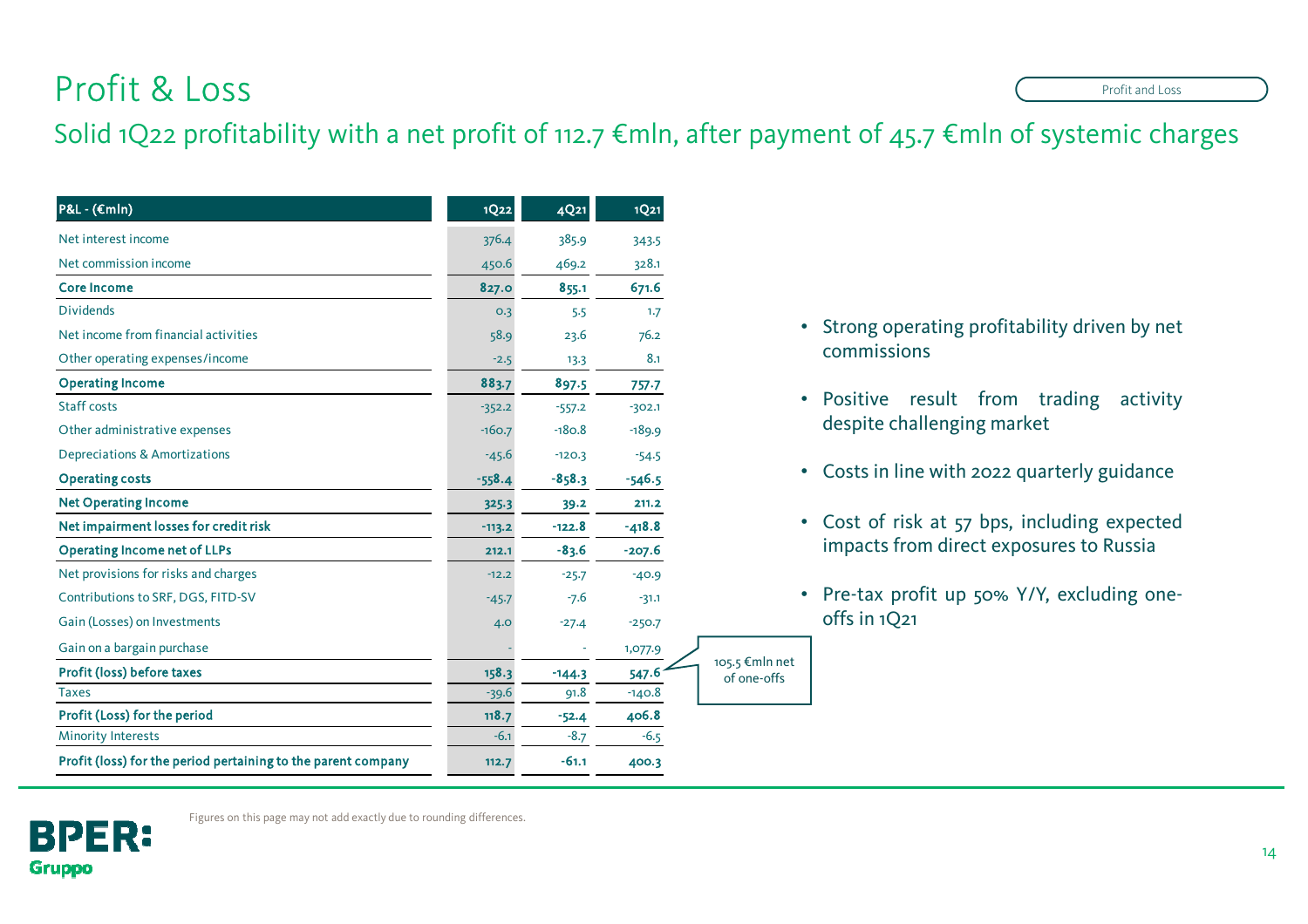## Profit & Loss

### Solid 1Q22 profitability with a net profit of 112.7 €mln, after payment of 45.7 €mln of systemic charges

105.5 €mln net of one-offs

| $P&L - (\epsilon mln)$                                        | <b>1Q22</b> | 4Q21     | 1Q <sub>21</sub> |
|---------------------------------------------------------------|-------------|----------|------------------|
| Net interest income                                           | 376.4       | 385.9    | 343.5            |
| Net commission income                                         | 450.6       | 469.2    | 328.1            |
| <b>Core Income</b>                                            | 827.0       | 855.1    | 671.6            |
| <b>Dividends</b>                                              | 0.3         | 5.5      | 1.7              |
| Net income from financial activities                          | 58.9        | 23.6     | 76.2             |
| Other operating expenses/income                               | $-2.5$      | 13.3     | 8.1              |
| <b>Operating Income</b>                                       | 883.7       | 897.5    | 757.7            |
| <b>Staff costs</b>                                            | $-352.2$    | $-557.2$ | $-302.1$         |
| Other administrative expenses                                 | $-160.7$    | $-180.8$ | $-189.9$         |
| <b>Depreciations &amp; Amortizations</b>                      | $-45.6$     | $-120.3$ | $-54.5$          |
| <b>Operating costs</b>                                        | $-558.4$    | $-858.3$ | $-546.5$         |
| <b>Net Operating Income</b>                                   | 325.3       | 39.2     | 211.2            |
| Net impairment losses for credit risk                         | $-113.2$    | $-122.8$ | $-418.8$         |
| <b>Operating Income net of LLPs</b>                           | 212.1       | $-83.6$  | $-207.6$         |
| Net provisions for risks and charges                          | $-12.2$     | $-25.7$  | $-40.9$          |
| Contributions to SRF, DGS, FITD-SV                            | $-45.7$     | $-7.6$   | $-31.1$          |
| Gain (Losses) on Investments                                  | 4.0         | $-27.4$  | $-250.7$         |
| Gain on a bargain purchase                                    |             |          | 1,077.9          |
| Profit (loss) before taxes                                    | 158.3       | $-144.3$ | 547.6            |
| <b>Taxes</b>                                                  | $-39.6$     | 91.8     | $-140.8$         |
| Profit (Loss) for the period                                  | 118.7       | $-52.4$  | 406.8            |
| <b>Minority Interests</b>                                     | $-6.1$      | $-8.7$   | $-6.5$           |
| Profit (loss) for the period pertaining to the parent company | 112.7       | $-61.1$  | 400.3            |
|                                                               |             |          |                  |

- Strong operating profitability driven by net commissions
- Positive result from trading activity despite challenging market
- Costs in line with <sup>2022</sup> quarterly guidance
- Cost of risk at <sup>57</sup> bps, including expected impacts from direct exposures to Russia
- Pre-tax profit up 50% Y/Y, excluding oneoffs in 1Q21



Figures on this page may not add exactly due to rounding differences.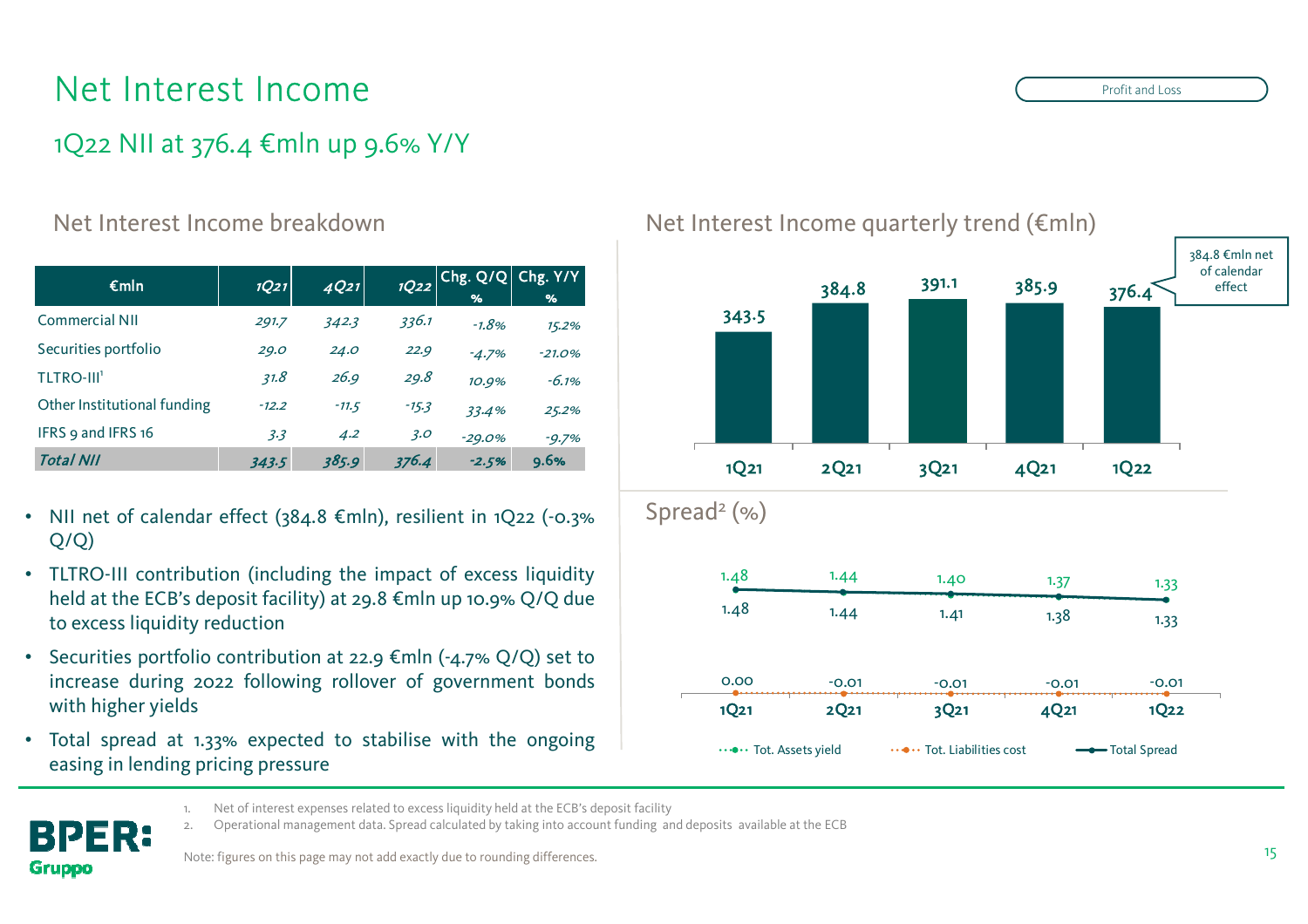## Net Interest Income

### 1Q22 NII at 376.4 €mln up 9.6% Y/Y

#### Net Interest Income breakdown

| $\epsilon$ mln               | 1Q21    | 4Q21    | 1022    | Chg. Q/Q <br>% | Chg. Y/Y<br>% |
|------------------------------|---------|---------|---------|----------------|---------------|
| <b>Commercial NII</b>        | 291.7   | 342.3   | 336.1   | $-1.8%$        | 15.2%         |
| Securities portfolio         | 29.0    | 24.0    | 22.9    | $-4.7%$        | $-21.0%$      |
| <b>TLTRO-III<sup>1</sup></b> | 31.8    | 26.9    | 29.8    | 10.9%          | $-6.1%$       |
| Other Institutional funding  | $-12.2$ | $-11.5$ | $-15.3$ | 33.4%          | 25.2%         |
| IFRS 9 and IFRS 16           | 3.3     | 4.2     | 3.0     | $-29.0%$       | $-9.7%$       |
| <b>Total NII</b>             | 343.5   | 385.9   | 376.4   | $-2.5%$        | 9.6%          |

- • NII net of calendar effect (384.8 €mln), resilient in 1Q22 (-0.3%Q/Q)
- TLTRO-III contribution (including the impact of excess liquidity held at the ECB's deposit facility) at 29.8 €mln up 10.9% Q/Q due to excess liquidity reduction
- Securities portfolio contribution at 22.9  $\epsilon$ mln (-4.7% Q/Q) set to increase during <sup>2022</sup> following rollover of governmen<sup>t</sup> bonds with higher <sup>y</sup>ields
- Total spread at 1.33% expected to stabilise with the ongoing easing in lending pricing pressure



Net Interest Income quarterly trend (€mln)

PER: **Gruppo** 

1. Net of interest expenses related to excess liquidity held at the ECB's deposit facility<br>2. Operational management data. Spread calculated by taking into account funding are

2. Operational management data. Spread calculated by taking into account funding and deposits available at the ECB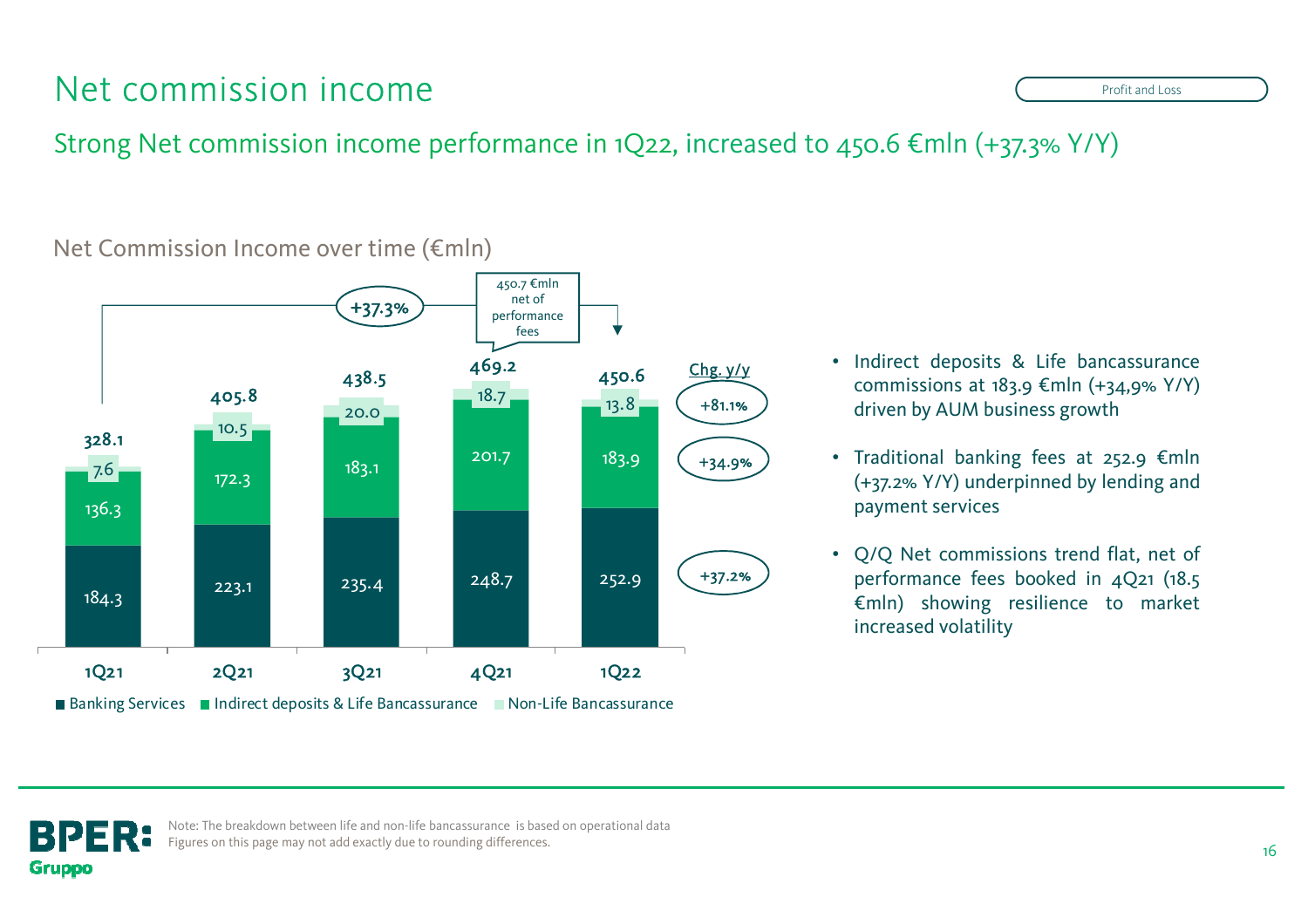## Net commission income

Strong Net commission income performance in 1Q22, increased to 450.6  $\epsilon$ mln (+37.3% Y/Y)



Net Commission Income over time (€mln)

- Indirect deposits & Life bancassurance commissions at 183.9  $\epsilon$ mln (+34,9% Y/Y) driven by AUM business growth
- •Traditional banking fees at 252.9  $\epsilon$ mln (+37.2% Y/Y) underpinned by lending and paymen<sup>t</sup> services
- • Q/Q Net commissions trend flat, net of performance fees booked in 4Q21 (18.5 €mln) showing resilience to market increased volatility



Note: The breakdown between life and non-life bancassurance is based on operational data Figures on this page may not add exactly due to rounding differences.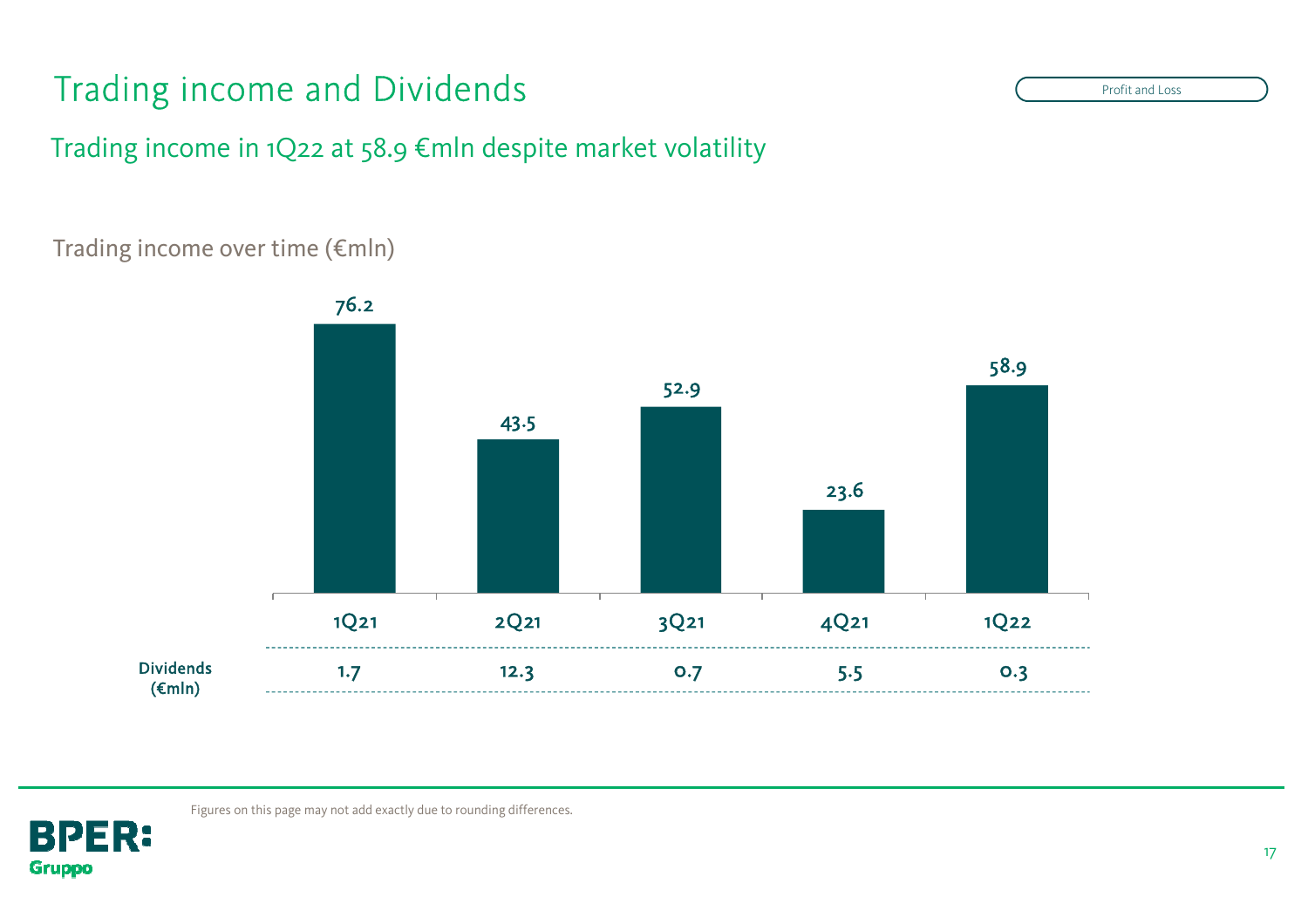## Trading income and Dividends

Trading income in 1Q22 at 58.9 €mln despite market volatility

### Trading income over time (€mln)





Figures on this page may not add exactly due to rounding differences.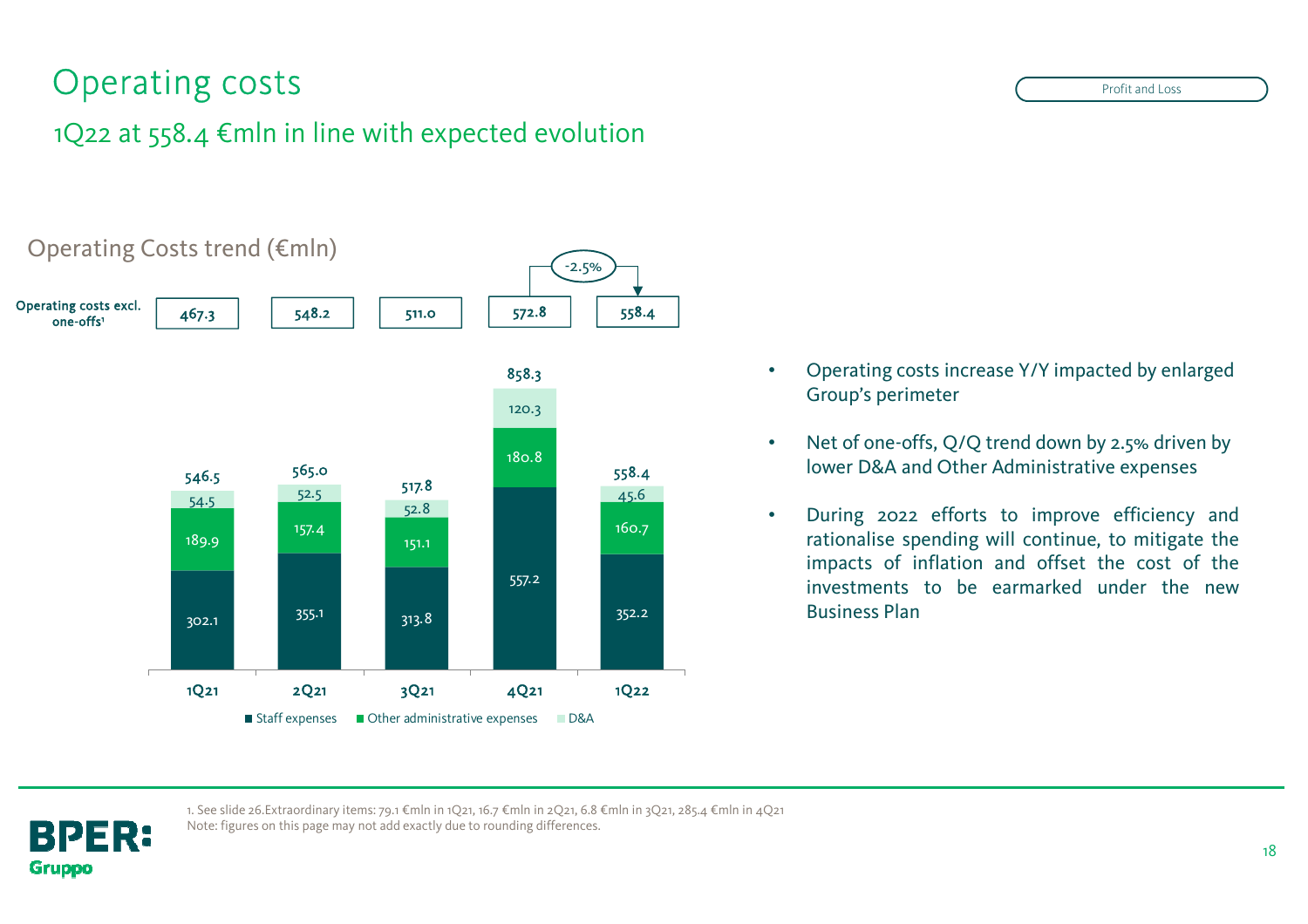## Operating costs

### 1Q22 at 558.4 €mln in line with expected evolution



- • Operating costs increase Y/Y impacted by enlarged Group's perimeter
- • Net of one-offs, Q/Q trend down by 2.5% driven by lower D&A and Other Administrative expenses
- • During <sup>2022</sup> efforts to improve efficiency and rationalise spending will continue, to mitigate the impacts of inflation and offset the cost of the investments to be earmarked under the new

1. See slide 26.Extraordinary items: 79.1 €mln in 1Q21, 16.7 €mln in 2Q21, 6.8 €mln in 3Q21, 285.4 €mln in 4Q21 Note: figures on this page may not add exactly due to rounding differences.

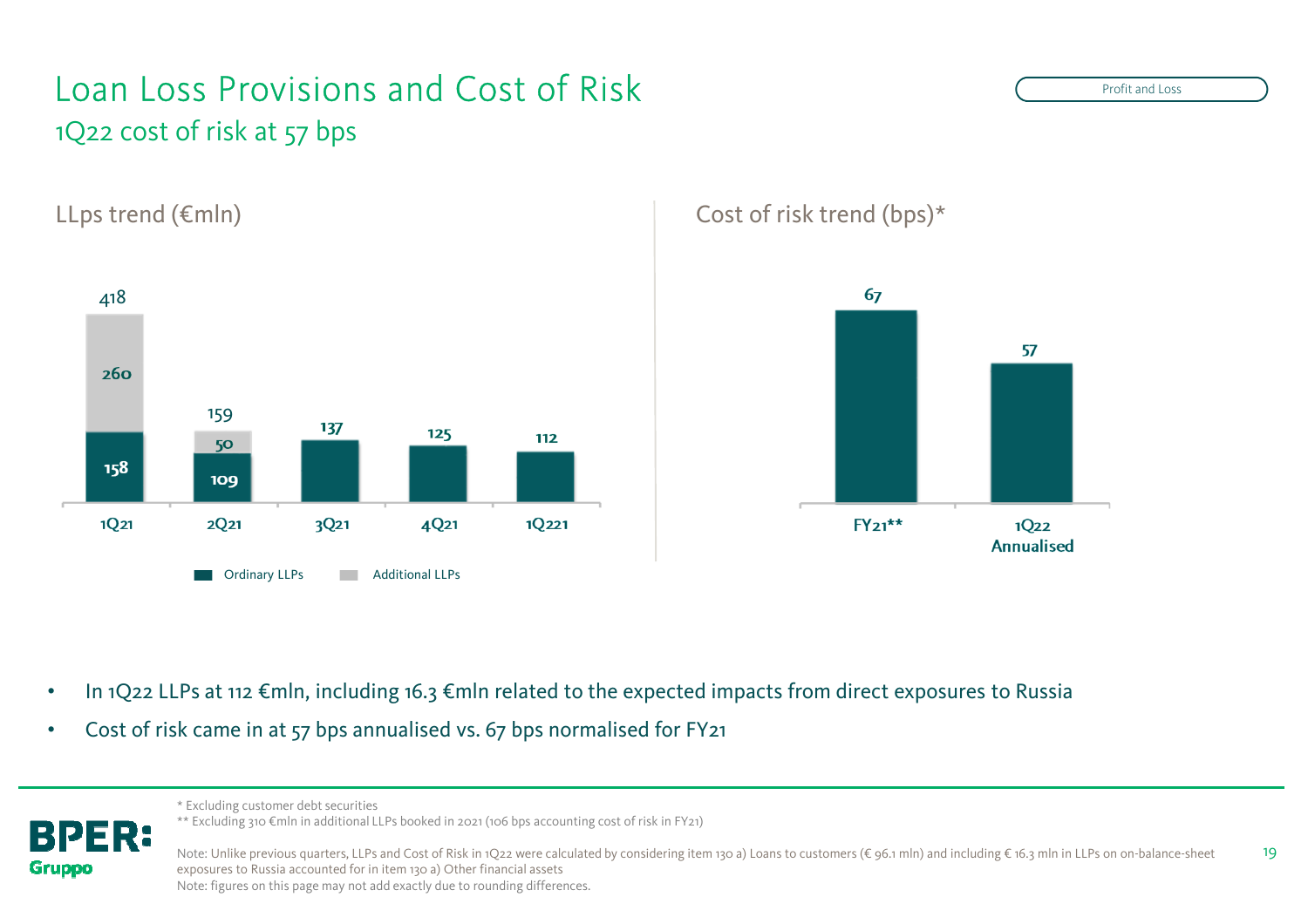## Loan Loss Provisions and Cost of Risk 1Q22 cost of risk at 57 bps

PER:

**Gruppo** 



LLps trend (€mln) Cost of risk trend (bps)\*



- •In 1Q22 LLPs at 112 €mln, including 16.3 €mln related to the expected impacts from direct exposures to Russia
- •Cost of risk came in at 57 bps annualised vs. 67 bps normalised for FY21

\* Excluding customer debt securities

\*\* Excluding 310 €mln in additional LLPs booked in 2021 (106 bps accounting cost of risk in FY21)

19Note: Unlike previous quarters, LLPs and Cost of Risk in 1Q22 were calculated by considering item 130 a) Loans to customers (€ 96.1 mln) and including € 16.3 mln in LLPs on on-balance-sheet exposures to Russia accounted for in item 130 a) Other financial assetsNote: figures on this page may not add exactly due to rounding differences.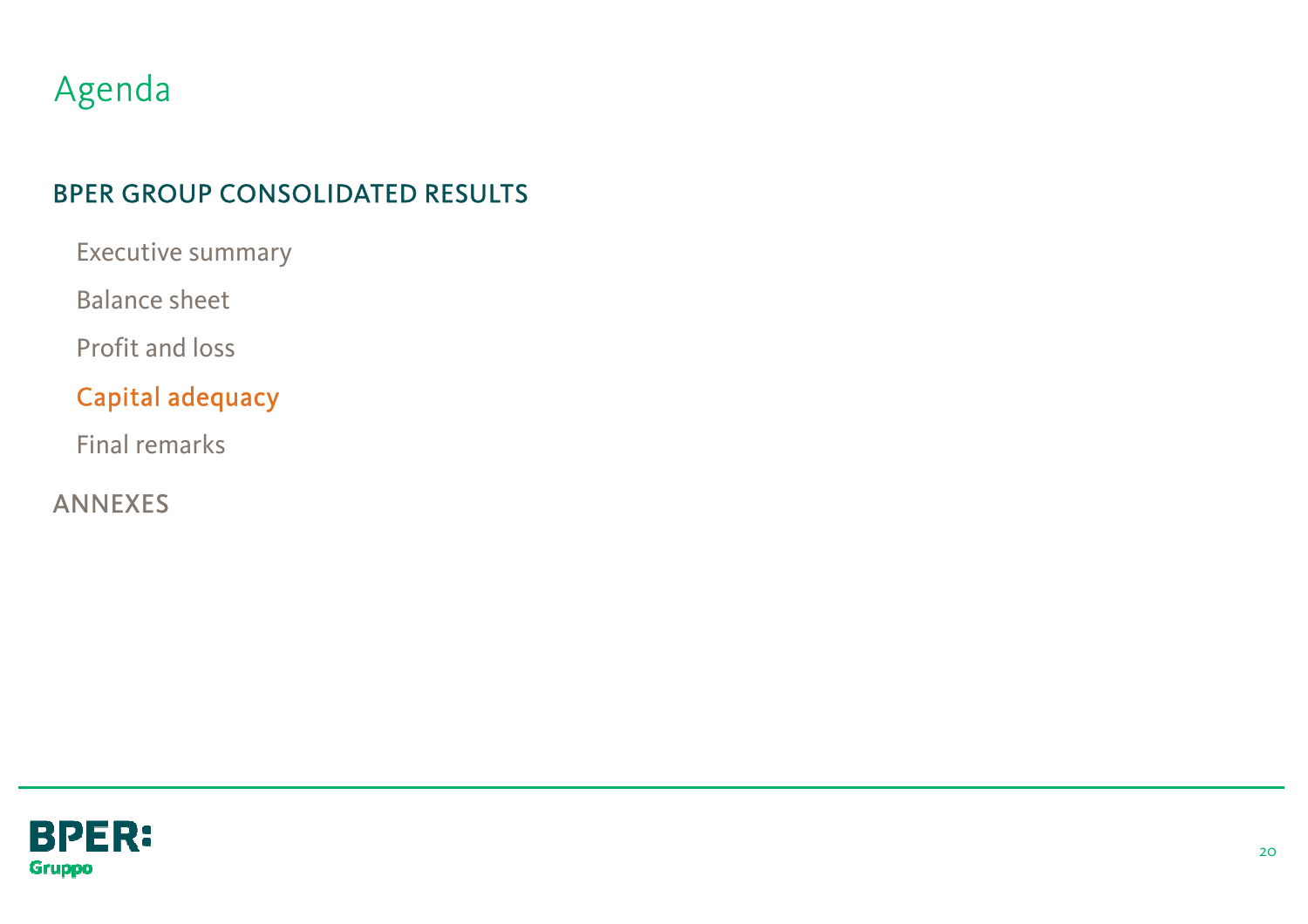## Agenda

### BPER GROUP CONSOLIDATED RESULTS

Executive summary

Balance sheet

Profit and loss

### Capital adequacy

Final remarks

ANNEXES

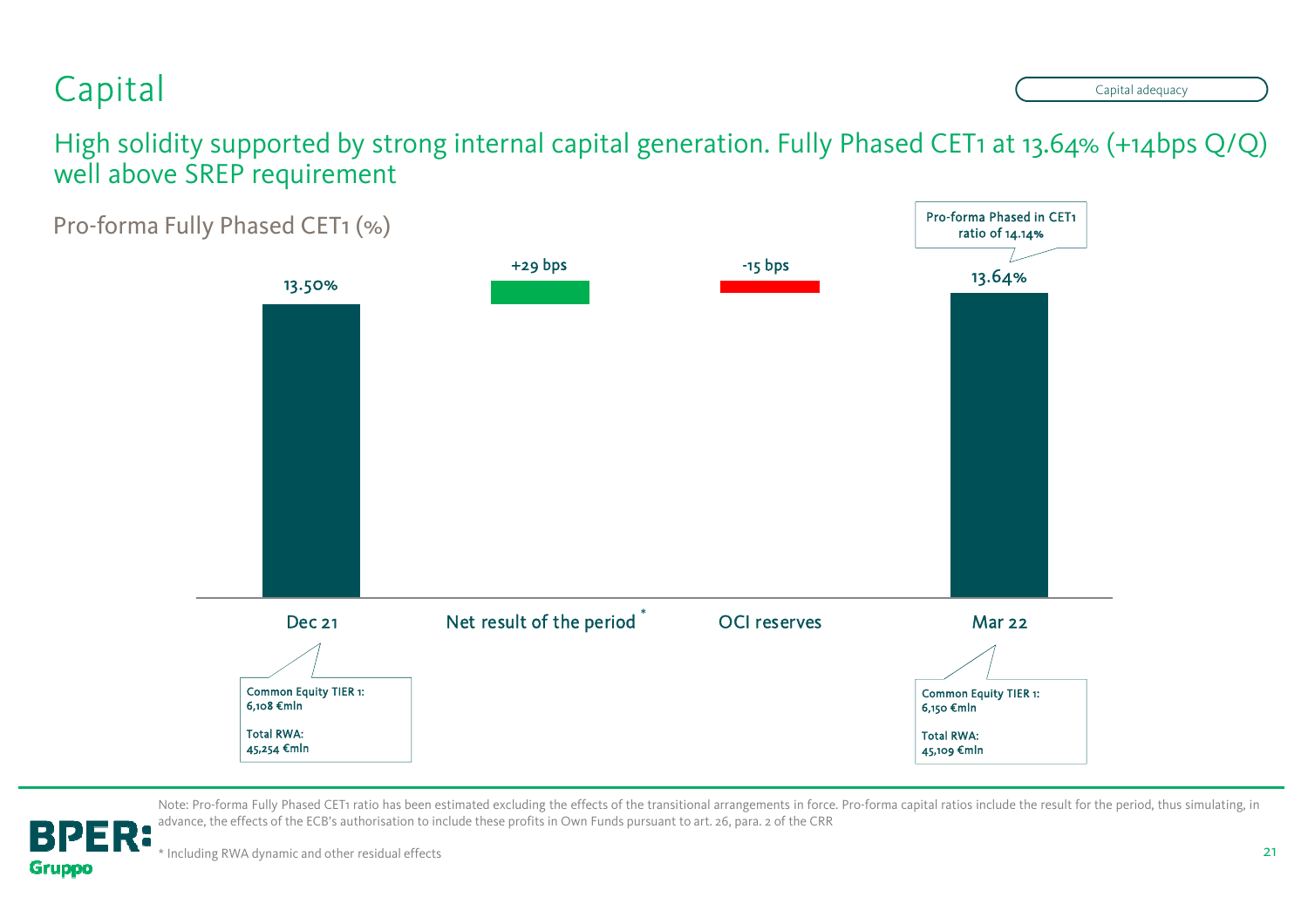## Capital

**Gruppo** 

Capital adequacy

High solidity supported by strong internal capital generation. Fully Phased CET1 at 13.64% (+14bps Q/Q) well above SREP requirement



Note: Pro-forma Fully Phased CET1 ratio has been estimated excluding the effects of the transitional arrangements in force. Pro-forma capital ratios include the result for the period, thus simulating, in advance, the effects of the ECB's authorisation to include these profits in Own Funds pursuant to art. 26, para. <sup>2</sup> of the CRR**BPER:**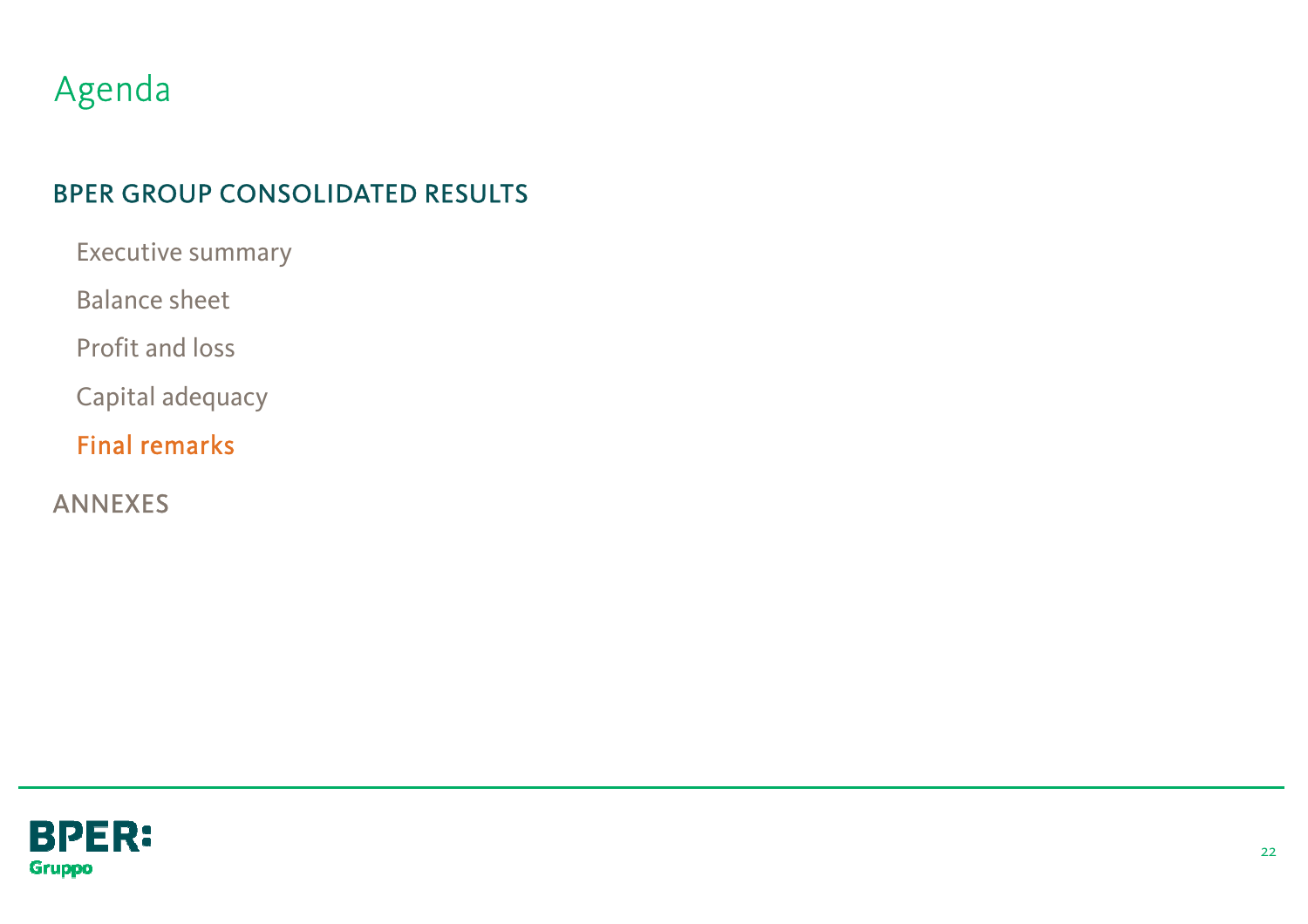## Agenda

### BPER GROUP CONSOLIDATED RESULTS

Executive summary

Balance sheet

Profit and loss

Capital adequacy

Final remarks

ANNEXES

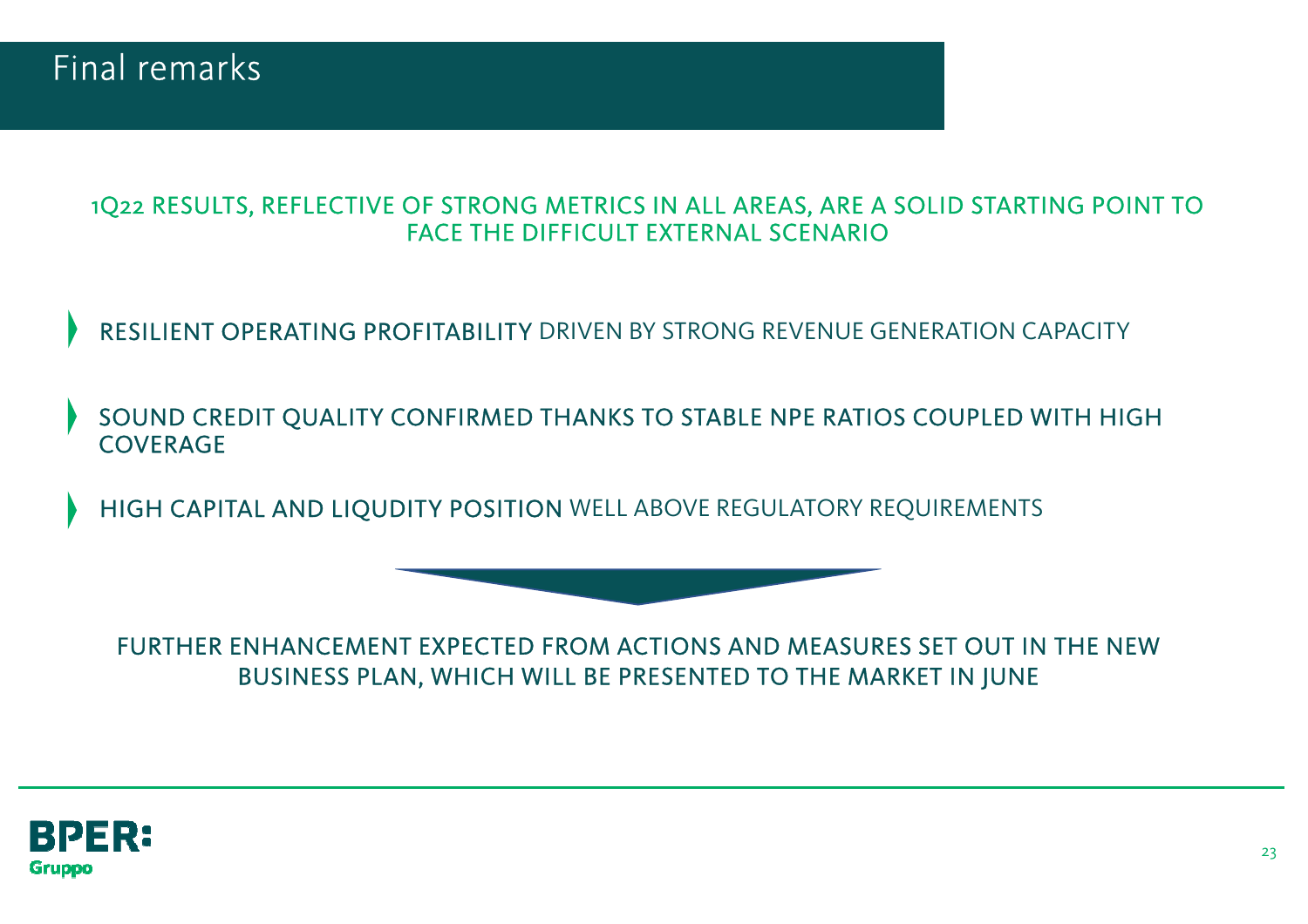

#### 1Q22 RESULTS, REFLECTIVE OF STRONG METRICS IN ALL AREAS, ARE A SOLID STARTING POINT TO FACE THE DIFFICULT EXTERNAL SCENARIO

RESILIENT OPERATING PROFITABILITY DRIVEN BY STRONG REVENUE GENERATION CAPACITY

SOUND CREDIT QUALITY CONFIRMED THANKS TO STABLE NPE RATIOS COUPLED WITH HIGH **COVERAGE** 

HIGH CAPITAL AND LIQUDITY POSITION WELL ABOVE REGULATORY REQUIREMENTS

FURTHER ENHANCEMENT EXPECTED FROM ACTIONS AND MEASURES SET OUT IN THE NEW BUSINESS PLAN, WHICH WILL BE PRESENTED TO THE MARKET IN JUNE

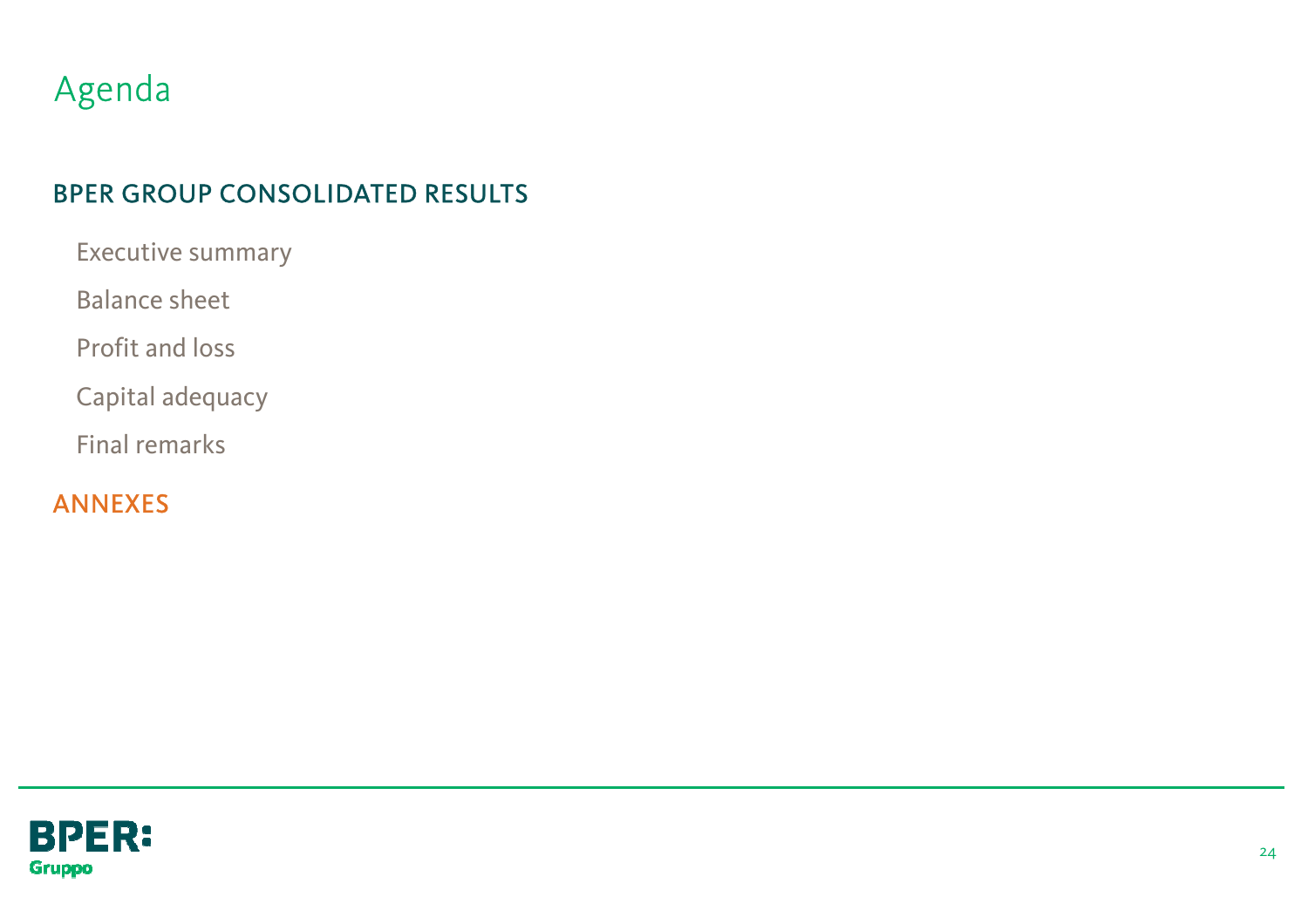## Agenda

### BPER GROUP CONSOLIDATED RESULTS

Executive summary

Balance sheet

Profit and loss

Capital adequacy

Final remarks

ANNEXES

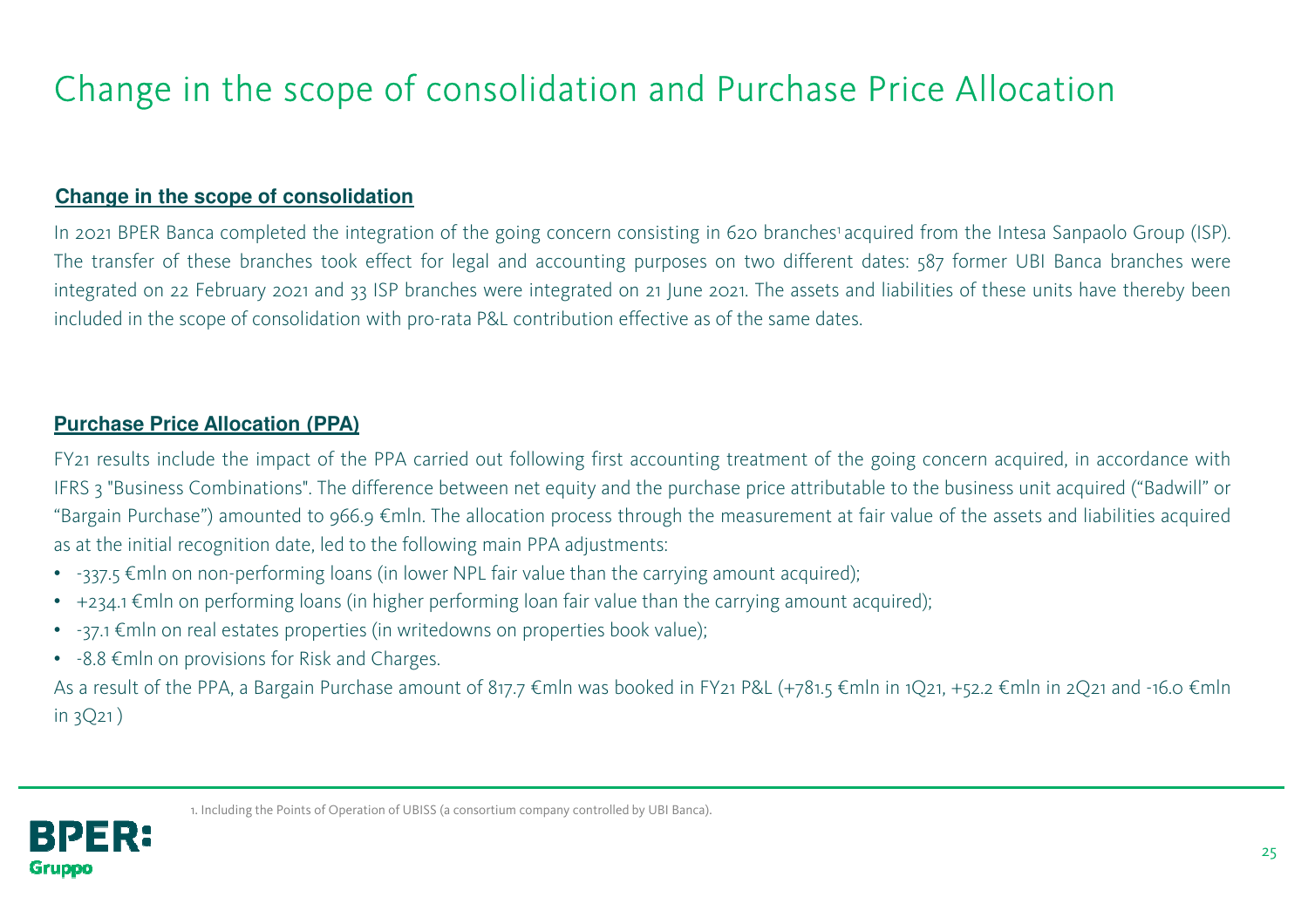## Change in the scope of consolidation and Purchase Price Allocation

#### **Change in the scope of consolidation**

In <sup>2021</sup> BPER Banca completed the integration of the going concern consisting in <sup>620</sup> branches 1 acquired from the Intesa Sanpaolo Group (ISP). The transfer of these branches took effect for legal and accounting purposes on two different dates: <sup>587</sup> former UBI Banca branches were integrated on <sup>22</sup> February <sup>2021</sup> and <sup>33</sup> ISP branches were integrated on <sup>21</sup> June 2021. The assets and liabilities of these units have thereby been included in the scope of consolidation with pro-rata P&L contribution effective as of the same dates.

#### **Purchase Price Allocation (PPA)**

FY21 results include the impact of the PPA carried out following first accounting treatment of the going concern acquired, in accordance with IFRS <sup>3</sup> "Business Combinations". The difference between net equity and the purchase price attributable to the business unit acquired ("Badwill" or "Bargain Purchase") amounted to 966.9 €mln. The allocation process through the measurement at fair value of the assets and liabilities acquired as at the initial recognition date, led to the following main PPA adjustments:

- $\,$  -337.5 €mln on non-performing loans (in lower NPL fair value than the carrying amount acquired);
- $\bullet$   $\,$  +234.1 €mln on performing loans (in higher performing loan fair value than the carrying amount acquired);
- $\bullet$   $\,$  -37.1  $\epsilon$ mln on real estates properties (in writedowns on properties book value);
- $-8.8 \in$ mln on provisions for Risk and Charges.

As <sup>a</sup> result of the PPA, <sup>a</sup> Bargain Purchase amount of 817.7 €mln was booked in FY21 P&L (+781.5 €mln in 1Q21, +52.2 €mln in 2Q21 and -16.0 €mln in 3Q21 )

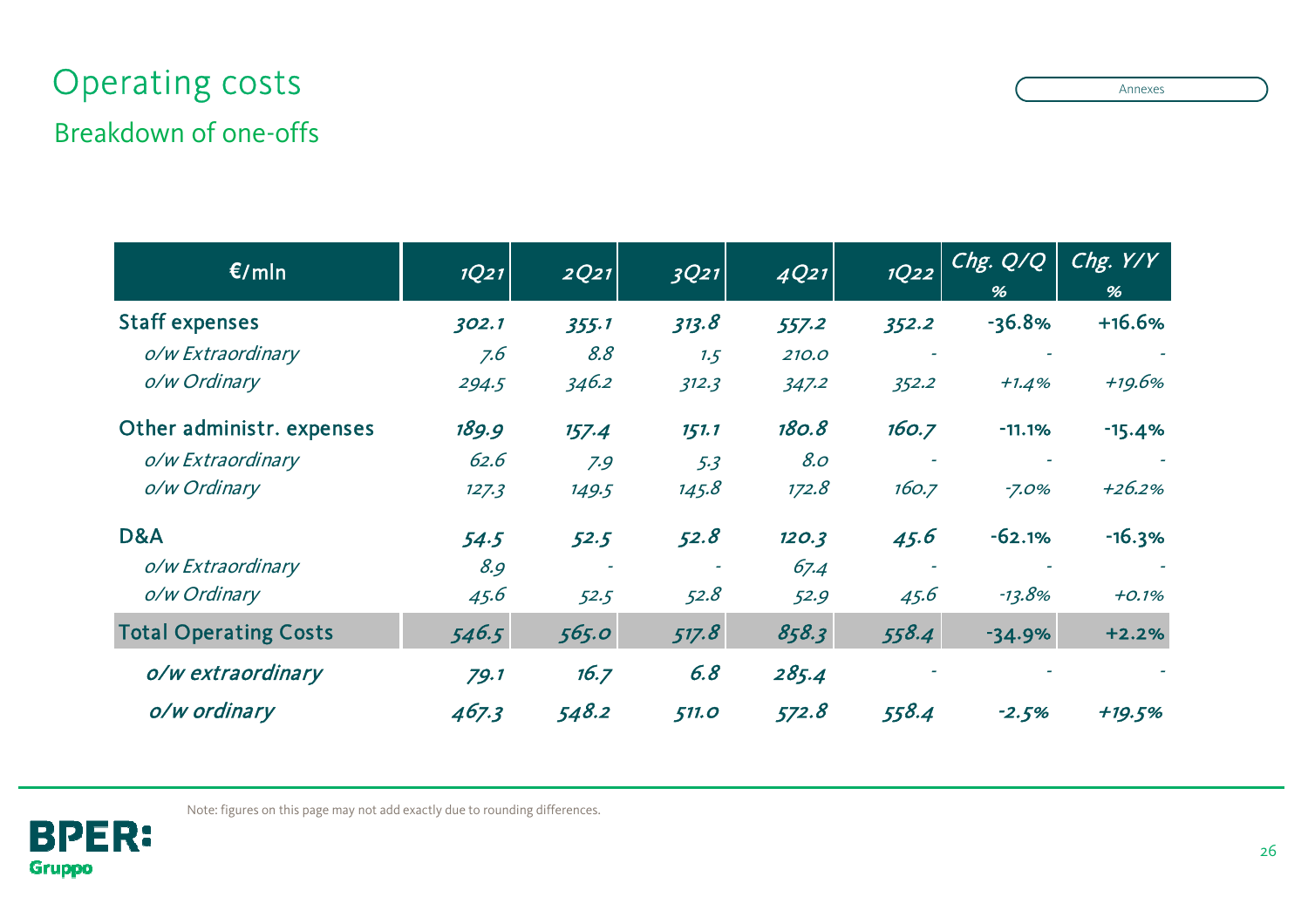## Operating costs

### Breakdown of one-offs

| E/mln                        | 1Q21  | 2Q21  | 3Q21         | 4Q21  | 1Q22  | Chg. Q/Q<br>% | Chg. $Y/Y$<br>% |
|------------------------------|-------|-------|--------------|-------|-------|---------------|-----------------|
| <b>Staff expenses</b>        | 302.1 | 355.1 | 313.8        | 557.2 | 352.2 | $-36.8%$      | $+16.6%$        |
| o/w Extraordinary            | 7.6   | 8.8   | 1.5          | 210.0 |       |               |                 |
| o/w Ordinary                 | 294.5 | 346.2 | 312.3        | 347.2 | 352.2 | $+1.4%$       | +19.6%          |
| Other administr. expenses    | 189.9 | 157.4 | 151.1        | 180.8 | 160.7 | $-11.1%$      | $-15.4%$        |
| o/w Extraordinary            | 62.6  | 7.9   | 5.3          | 8.0   |       |               |                 |
| o/w Ordinary                 | 127.3 | 149.5 | 145.8        | 172.8 | 160.7 | $-7.0%$       | $+26.2%$        |
| D&A                          | 54.5  | 52.5  | 52.8         | 120.3 | 45.6  | $-62.1%$      | $-16.3%$        |
| o/w Extraordinary            | 8.9   |       |              | 67.4  |       |               |                 |
| o/w Ordinary                 | 45.6  | 52.5  | 52.8         | 52.9  | 45.6  | $-13.8%$      | $+0.1%$         |
| <b>Total Operating Costs</b> | 546.5 | 565.0 | 517.8        | 858.3 | 558.4 | $-34.9%$      | $+2.2%$         |
| o/w extraordinary            | 79.1  | 16.7  | 6.8          | 285.4 |       |               |                 |
| o/w ordinary                 | 467.3 | 548.2 | <b>511.0</b> | 572.8 | 558.4 | $-2.5%$       | +19.5%          |



Note: figures on this page may not add exactly due to rounding differences.

Annexes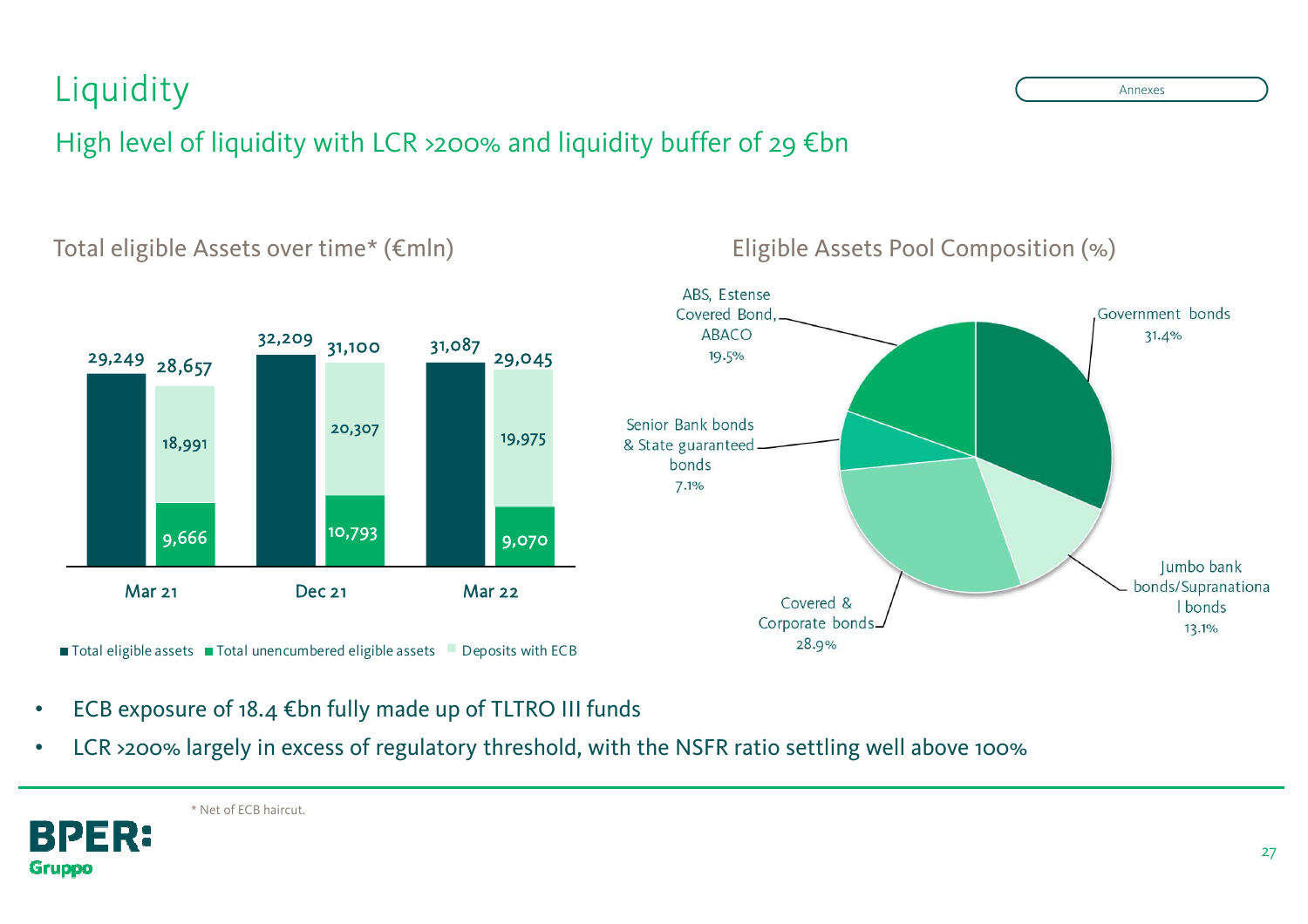## Liquidity

### High level of liquidity with LCR >200% and liquidity buffer of 29 €bn



Total eligible Assets over time\* (€mln)

- •ECB exposure of 18.4  $\notin$  bn fully made up of TLTRO III funds
- •LCR >200% largely in excess of regulatory threshold, with the NSFR ratio settling well above 100%

BPER:

**Gruppo** 

Eligible Assets Pool Composition (%)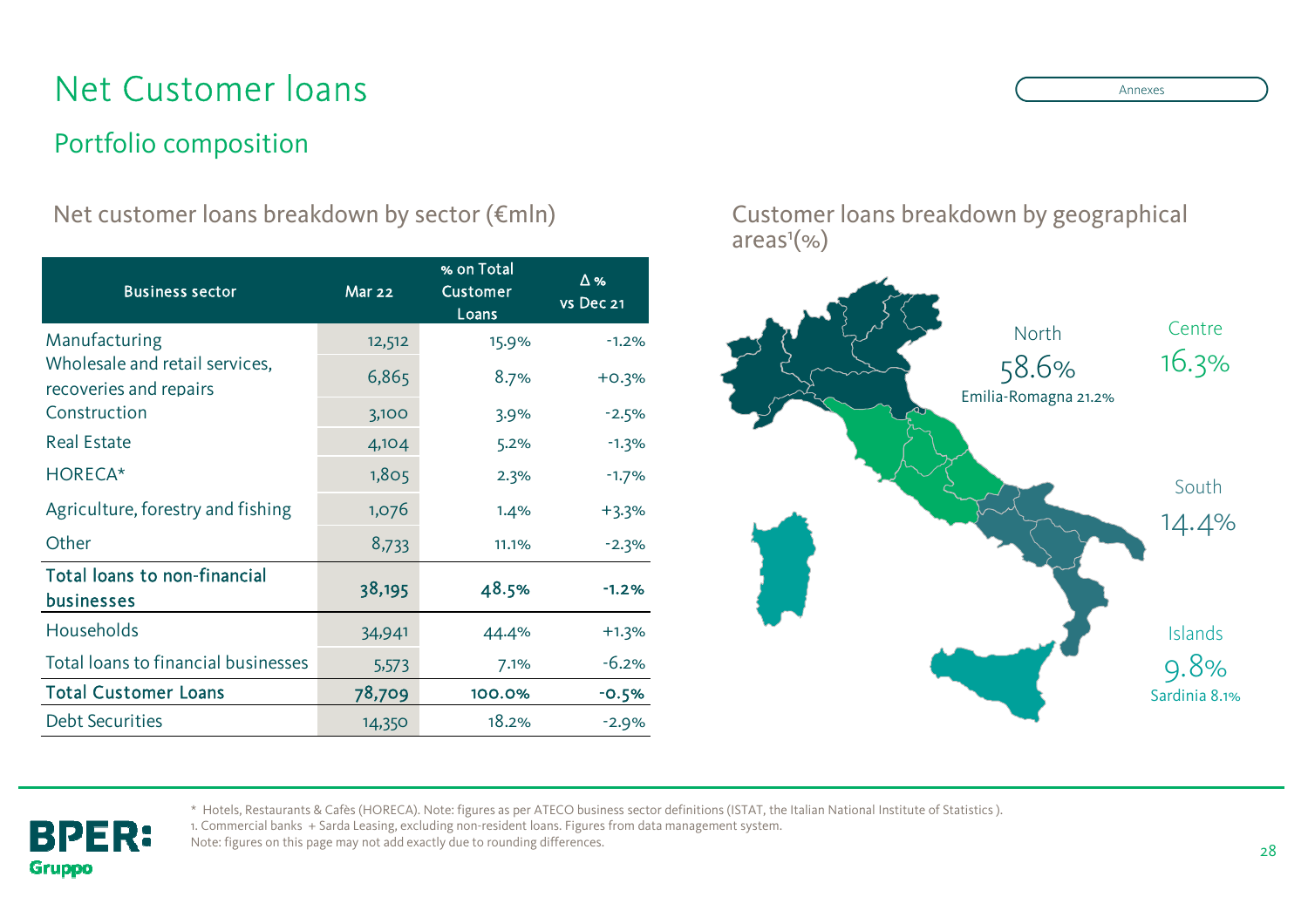## Net Customer loans

### Portfolio composition

**BPER:** 

**Gruppo** 

Net customer loans breakdown by sector (€mln) Customer loans breakdown by geographical

| <b>Business sector</b>                                   | <b>Mar 22</b> | % on Total<br><b>Customer</b><br>Loans | $\Delta$ %<br>vs Dec 21 |
|----------------------------------------------------------|---------------|----------------------------------------|-------------------------|
| Manufacturing                                            | 12,512        | 15.9%                                  | $-1.2%$                 |
| Wholesale and retail services,<br>recoveries and repairs | 6,865         | 8.7%                                   | $+0.3%$                 |
| Construction                                             | 3,100         | 3.9%                                   | $-2.5%$                 |
| <b>Real Estate</b>                                       | 4,104         | 5.2%                                   | $-1.3%$                 |
| HORECA*                                                  | 1,805         | 2.3%                                   | $-1.7%$                 |
| Agriculture, forestry and fishing                        | 1,076         | 1.4%                                   | $+3.3%$                 |
| Other                                                    | 8,733         | 11.1%                                  | $-2.3%$                 |
| <b>Total loans to non-financial</b><br><b>businesses</b> | 38,195        | 48.5%                                  | $-1.2%$                 |
| Households                                               | 34,941        | 44.4%                                  | $+1.3%$                 |
| Total loans to financial businesses                      | 5,573         | 7.1%                                   | $-6.2%$                 |
| <b>Total Customer Loans</b>                              | 78,709        | 100.0%                                 | $-0.5%$                 |
| <b>Debt Securities</b>                                   | 14,350        | 18.2%                                  | $-2.9%$                 |

 $area<sup>1</sup>(% )$ 



\* Hotels, Restaurants & Cafès (HORECA). Note: figures as per ATECO business sector definitions (ISTAT, the Italian National Institute of Statistics ).

1. Commercial banks + Sarda Leasing, excluding non-resident loans. Figures from data management system.

Note: figures on this page may not add exactly due to rounding differences.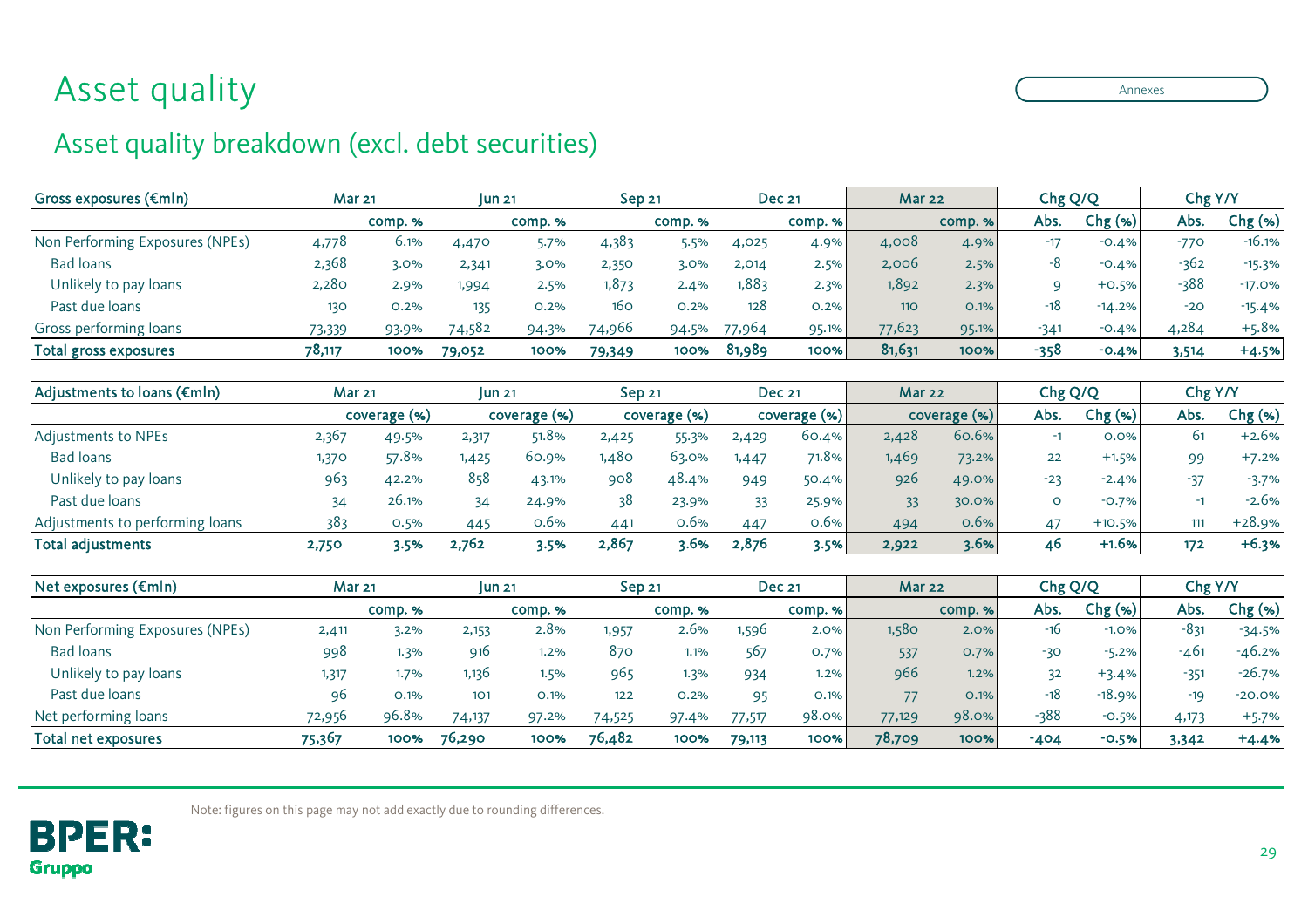## Asset quality

### Asset quality breakdown (excl. debt securities)

| Gross exposures ( $\epsilon$ mln) | <b>Mar 21</b> |         | <b>Jun 21</b> |         | Sep <sub>21</sub> |         | <b>Dec 21</b> |         | <b>Mar 22</b> |         | Chg Q/Q |           | Chg Y/Y |           |
|-----------------------------------|---------------|---------|---------------|---------|-------------------|---------|---------------|---------|---------------|---------|---------|-----------|---------|-----------|
|                                   |               | comp. % |               | comp. % |                   | comp. % |               | comp. % |               | comp. % | Abs.    | $Chg$ (%) | Abs.    | $Chg$ (%) |
| Non Performing Exposures (NPEs)   | 4,778         | 6.1%    | 4,470         | 5.7%    | 4,383             | 5.5%    | 4,025         | 4.9%    | 4,008         | 4.9%    | $-17$   | $-0.4%$   | $-770$  | $-16.1%$  |
| Bad loans                         | 2,368         | 3.0%    | 2,341         | 3.0%    | 2,350             | $3.0\%$ | 2,014         | 2.5%    | 2,006         | 2.5%    |         | $-0.4%$   | $-362$  | $-15.3%$  |
| Unlikely to pay loans             | 2,280         | 2.9%    | 1,994         | 2.5%    | 1,873             | 2.4%    | 1,883         | 2.3%    | 1,892         | 2.3%    |         | $+0.5%$   | $-388$  | $-17.0%$  |
| Past due loans                    | 130           | 0.2%    | 135           | 0.2%    | 160               | 0.2%    | 128           | 0.2%    | <b>110</b>    | O.1%    | -18     | $-14.2%$  | $-20$   | $-15.4%$  |
| Gross performing loans            | 73,339        | 93.9%   | 74,582        | 94.3%   | 74,966            | 94.5%   | 77,964        | 95.1%   | 77,623        | 95.1%   | $-341$  | $-0.4%$   | 4,284   | $+5.8%$   |
| <b>Total gross exposures</b>      | 78,117        | 100%    | 79,052        | 100%    | 79,349            | 100%    | 81,989        | 100%    | 81,631        | 100%    | -358    | $-0.4%$   | 3,514   | $+4.5%$   |

| Adjustments to loans ( $\epsilon$ mln) | <b>Mar 21</b> |       | $\mathsf{I}$ un 21 |       | <b>Sep 21</b>  |       | <b>Dec 21</b>  |        | <b>Mar 22</b> |       | Chg Q/Q |           | Chg Y/Y |          |
|----------------------------------------|---------------|-------|--------------------|-------|----------------|-------|----------------|--------|---------------|-------|---------|-----------|---------|----------|
|                                        | coverage (%)  |       | coverage (%)       |       | $coverage$ (%) |       | $coverage$ (%) |        | coverage (%)  |       | Abs.    | $Chg$ (%) | Abs.    | Chg (%)  |
| Adjustments to NPEs                    | 2,367         | 49.5% | 2,317              | 51.8% | 2,425          | 55.3% | 2,429          | 60.4%  | 2,428         | 60.6% |         | 0.0%      | 61      | $+2.6%$  |
| <b>Bad loans</b>                       | 1,370         | 57.8% | ,425               | 60.9% | ,480           | 63.0% | ,447           | 71.8%⊫ | 1,469         | 73.2% | 22      | $+1.5%$   | 99      | $+7.2%$  |
| Unlikely to pay loans                  | 963           | 42.2% | 858                | 43.1% | 908            | 48.4% | 949            | 50.4%  | 926           | 49.0% | $-23$   | $-2.4%$   | $-37$   | $-3.7%$  |
| Past due loans                         | 34            | 26.1% |                    | 24.9% | 38             | 23.9% | 33             | 25.9%  | 33            | 30.0% |         | $-0.7%$   | - 1     | $-2.6%$  |
| Adjustments to performing loans        | 383           | 0.5%  | 445                | 0.6%  | 441            | 0.6%  | 447            | 0.6%   | 494           | 0.6%  | 47      | $+10.5%$  | 111     | $+28.9%$ |
| <b>Total adjustments</b>               | 2,750         | 3.5%  | 2,762              | 3.5%  | 2,867          | 3.6%  | 2,876          | 3.5%   | 2,922         | 3.6%  | 46      | $+1.6%$   | 172     | $+6.3%$  |

| Net exposures $(\epsilon m/n)$  | <b>Mar 21</b> |        | <b>un 21</b> |         | Sep <sub>21</sub> |         | <b>Dec 21</b> |          | <b>Mar 22</b> |         | Chg Q/Q |           | Chg Y/Y |           |
|---------------------------------|---------------|--------|--------------|---------|-------------------|---------|---------------|----------|---------------|---------|---------|-----------|---------|-----------|
|                                 |               | comp.% |              | comp. % |                   | comp. % |               | comp. %  |               | comp. % | Abs.    | $Chg$ (%) | Abs.    | Chg (%)   |
| Non Performing Exposures (NPEs) | 2,411         | 3.2%   | 2,153        | 2.8%    | 1,957             | 2.6%    | ,596          | 2.0%     | 1,580         | 2.0%    | -16     | $-1.0%$   | -831    | $-34.5%$  |
| <b>Bad loans</b>                | 998           | 1.3%   | 916          | 1.2%    | 870               | 1.1%    | 567           | 0.7%     | 537           | 0.7%    | $-30$   | $-5.2%$   | -461    | $-46.2%$  |
| Unlikely to pay loans           | 1,317         | 1.7%   | 1,136        | 1.5%    | 965               | 1.3%    | 934           | 1.2%     | 966           | 1.2%    |         | $+3.4%$   | -351    | $-26.7\%$ |
| Past due loans                  | 96            | 0.1%   | 101          | O.1%    | 122               | 0.2%    | 95            | O.1%     | 77            | O.1%    | $-18$   | $-18.9%$  | $-19$   | $-20.0%$  |
| Net performing loans            | 72,956        | 96.8%  | 74,137       | 97.2%   | 74,525            | 97.4%   | 77,517        | $98.0\%$ | 77,129        | 98.0%   | $-388$  | $-0.5%$   | 4,173   | $+5.7%$   |
| <b>Total net exposures</b>      | 75,367        | 100%   | 76,290       | 100%    | 76,482            | 100%    | 79,113        | 100%     | 78,709        | 100%    | $-404$  | $-0.5%$   | 3,342   | $+4.4%$   |



Note: figures on this page may not add exactly due to rounding differences.

Annexes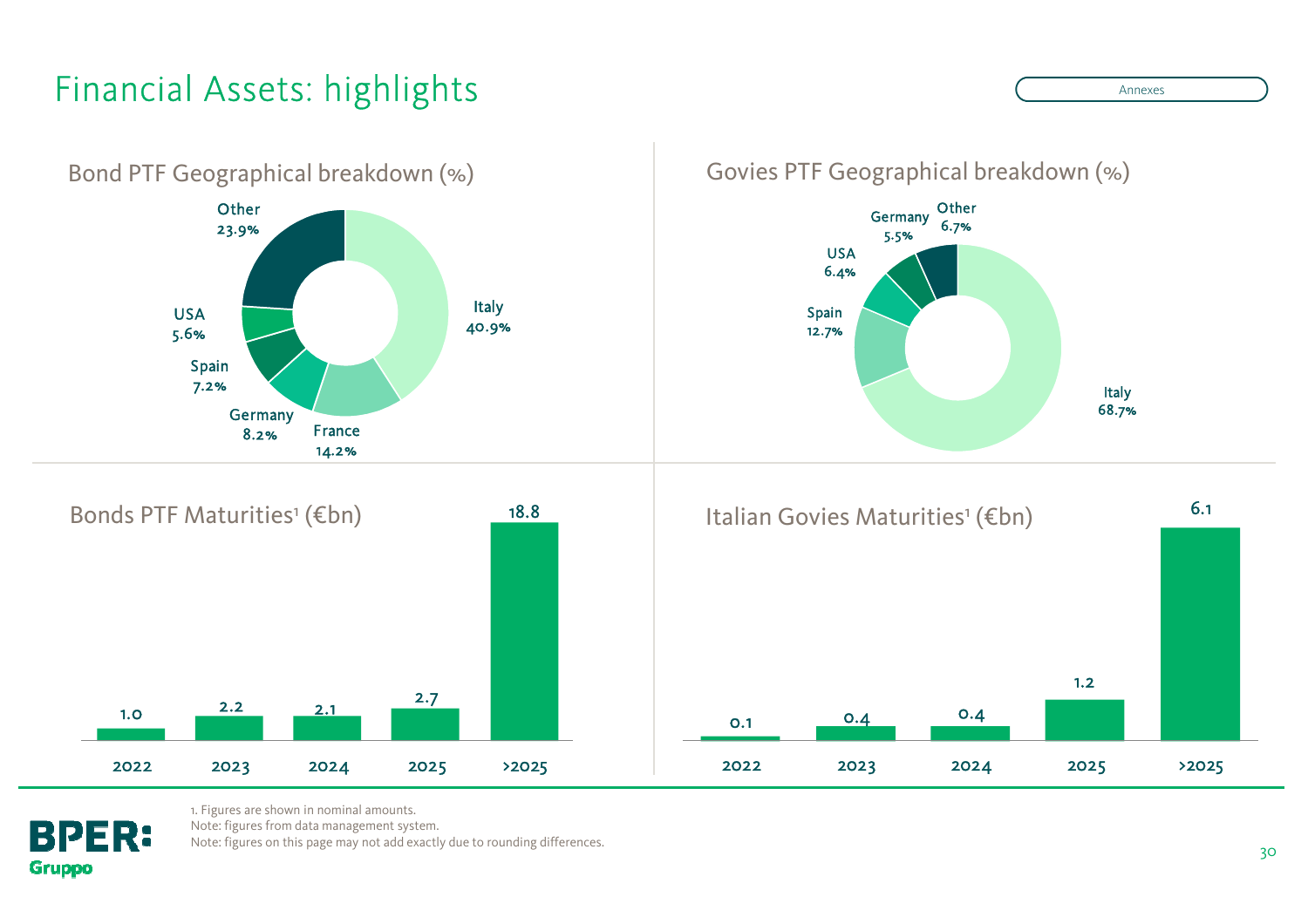## Financial Assets: highlights



1. Figures are shown in nominal amounts.

Note: figures from data management system.

**BPER:** 

**Gruppo** 

Note: figures on this page may not add exactly due to rounding differences.

Annexes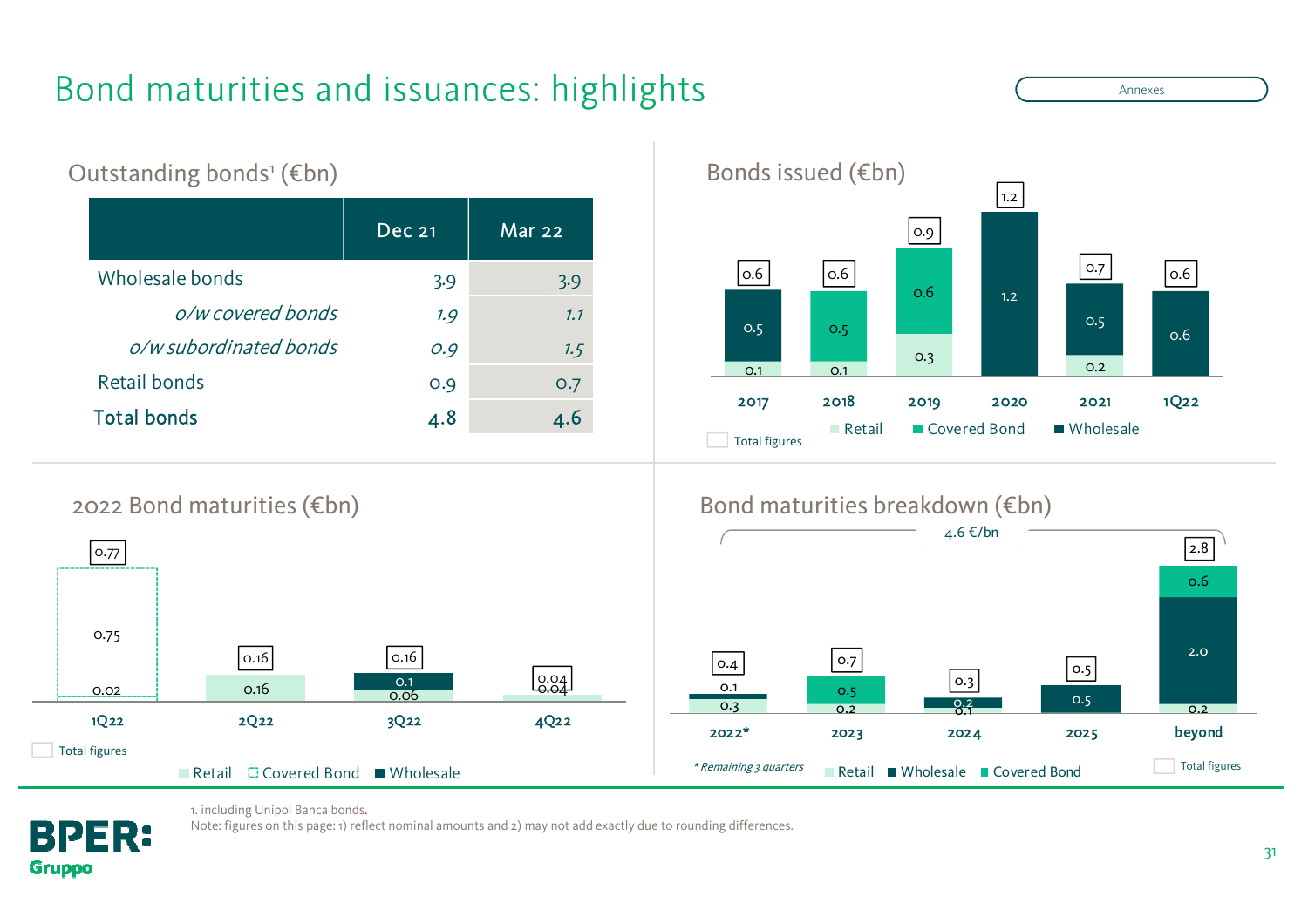## Bond maturities and issuances: highlights

Dec 21 Mar 22Wholesale bonds 3.9 3.9 o/w covered bonds 1.9 1.1 o/w subordinated bonds 0.9 0.9 1.5 Retail bonds 0.9 0.7 Total bonds 4.8 4.6 Outstanding bonds<sup>1</sup> (€bn)



■ Covered Bond

**Retail** 

Annexes

Wholesale



Total figures

#### 2022 Bond maturities (€bn)





1. including Unipol Banca bonds.

Note: figures on this page: 1) reflect nominal amounts and 2) may not add exactly due to rounding differences.

31